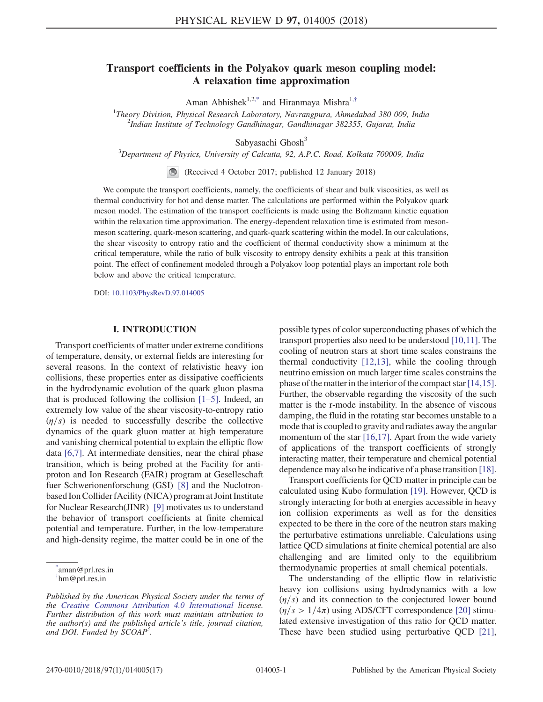# <span id="page-0-2"></span>Transport coefficients in the Polyakov quark meson coupling model: A relaxation time approximation

Aman Abhishek<sup>1,[2,\\*](#page-0-0)</sup> and Hiranmaya Mishra<sup>1,[†](#page-0-1)</sup>

<sup>1</sup>Theory Division, Physical Research Laboratory, Navrangpura, Ahmedabad 380 009, India<br><sup>2</sup>Indian Institute of Technology Candhinggay Candhinggay 382355 Cuigrat India  $1$ Indian Institute of Technology Gandhinagar, Gandhinagar 382355, Gujarat, India

Sabyasachi Ghosh<sup>3</sup>

 $3$ Department of Physics, University of Calcutta, 92, A.P.C. Road, Kolkata 700009, India

 $\bigcirc$ (Received 4 October 2017; published 12 January 2018)

We compute the transport coefficients, namely, the coefficients of shear and bulk viscosities, as well as thermal conductivity for hot and dense matter. The calculations are performed within the Polyakov quark meson model. The estimation of the transport coefficients is made using the Boltzmann kinetic equation within the relaxation time approximation. The energy-dependent relaxation time is estimated from mesonmeson scattering, quark-meson scattering, and quark-quark scattering within the model. In our calculations, the shear viscosity to entropy ratio and the coefficient of thermal conductivity show a minimum at the critical temperature, while the ratio of bulk viscosity to entropy density exhibits a peak at this transition point. The effect of confinement modeled through a Polyakov loop potential plays an important role both below and above the critical temperature.

DOI: [10.1103/PhysRevD.97.014005](https://doi.org/10.1103/PhysRevD.97.014005)

### I. INTRODUCTION

Transport coefficients of matter under extreme conditions of temperature, density, or external fields are interesting for several reasons. In the context of relativistic heavy ion collisions, these properties enter as dissipative coefficients in the hydrodynamic evolution of the quark gluon plasma that is produced following the collision  $[1-5]$  $[1-5]$ . Indeed, an extremely low value of the shear viscosity-to-entropy ratio  $(\eta/s)$  is needed to successfully describe the collective dynamics of the quark gluon matter at high temperature and vanishing chemical potential to explain the elliptic flow data [\[6,7\]](#page-15-1). At intermediate densities, near the chiral phase transition, which is being probed at the Facility for antiproton and Ion Research (FAIR) program at Geselleschaft fuer Schwerionenforschung (GSI)–[\[8\]](#page-15-2) and the Nuclotronbased Ion Collider fAcility (NICA) program at Joint Institute for Nuclear Research(JINR)–[\[9\]](#page-15-3) motivates us to understand the behavior of transport coefficients at finite chemical potential and temperature. Further, in the low-temperature and high-density regime, the matter could be in one of the

<span id="page-0-1"></span><span id="page-0-0"></span>[\\*](#page-0-2) aman@prl.res.in [†](#page-0-2) hm@prl.res.in

possible types of color superconducting phases of which the transport properties also need to be understood [\[10,11\]](#page-15-4). The cooling of neutron stars at short time scales constrains the thermal conductivity [\[12,13\]](#page-15-5), while the cooling through neutrino emission on much larger time scales constrains the phase of the matter in the interior of the compact star[\[14,15\]](#page-15-6). Further, the observable regarding the viscosity of the such matter is the r-mode instability. In the absence of viscous damping, the fluid in the rotating star becomes unstable to a mode that is coupled to gravity and radiates away the angular momentum of the star [\[16,17\].](#page-15-7) Apart from the wide variety of applications of the transport coefficients of strongly interacting matter, their temperature and chemical potential dependence may also be indicative of a phase transition [\[18\]](#page-15-8).

Transport coefficients for QCD matter in principle can be calculated using Kubo formulation [\[19\]](#page-15-9). However, QCD is strongly interacting for both at energies accessible in heavy ion collision experiments as well as for the densities expected to be there in the core of the neutron stars making the perturbative estimations unreliable. Calculations using lattice QCD simulations at finite chemical potential are also challenging and are limited only to the equilibrium thermodynamic properties at small chemical potentials.

The understanding of the elliptic flow in relativistic heavy ion collisions using hydrodynamics with a low  $(\eta/s)$  and its connection to the conjectured lower bound  $(\eta/s > 1/4\pi)$  using ADS/CFT correspondence [\[20\]](#page-15-10) stimulated extensive investigation of this ratio for QCD matter. These have been studied using perturbative QCD [\[21\]](#page-15-11),

Published by the American Physical Society under the terms of the [Creative Commons Attribution 4.0 International](https://creativecommons.org/licenses/by/4.0/) license. Further distribution of this work must maintain attribution to the author(s) and the published article's title, journal citation, and DOI. Funded by SCOAP<sup>3</sup>.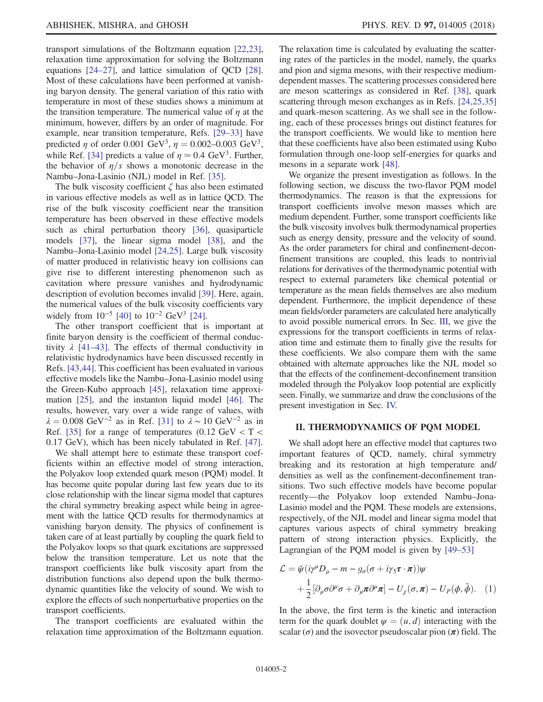transport simulations of the Boltzmann equation [\[22,23\]](#page-15-12), relaxation time approximation for solving the Boltzmann equations [24–[27\],](#page-15-13) and lattice simulation of QCD [\[28\]](#page-15-14). Most of these calculations have been performed at vanishing baryon density. The general variation of this ratio with temperature in most of these studies shows a minimum at the transition temperature. The numerical value of  $\eta$  at the minimum, however, differs by an order of magnitude. For example, near transition temperature, Refs. [\[29](#page-15-15)–33] have predicted  $\eta$  of order 0.001 GeV<sup>3</sup>,  $\eta = 0.002{\text -}0.003$  GeV<sup>3</sup>, while Ref. [\[34\]](#page-15-16) predicts a value of  $\eta \simeq 0.4 \text{ GeV}^3$ . Further, the behavior of  $\eta/s$  shows a monotonic decrease in the Nambu–Jona-Lasinio (NJL) model in Ref. [\[35\]](#page-15-17).

The bulk viscosity coefficient  $\zeta$  has also been estimated in various effective models as well as in lattice QCD. The rise of the bulk viscosity coefficient near the transition temperature has been observed in these effective models such as chiral perturbation theory [\[36\]](#page-16-0), quasiparticle models [\[37\],](#page-16-1) the linear sigma model [\[38\],](#page-16-2) and the Nambu–Jona-Lasinio model [\[24,25\].](#page-15-13) Large bulk viscosity of matter produced in relativistic heavy ion collisions can give rise to different interesting phenomenon such as cavitation where pressure vanishes and hydrodynamic description of evolution becomes invalid [\[39\]](#page-16-3). Here, again, the numerical values of the bulk viscosity coefficients vary widely from  $10^{-5}$  [\[40\]](#page-16-4) to  $10^{-2}$  GeV<sup>3</sup> [\[24\].](#page-15-13)

The other transport coefficient that is important at finite baryon density is the coefficient of thermal conductivity  $\lambda$  [\[41](#page-16-5)–43]. The effects of thermal conductivity in relativistic hydrodynamics have been discussed recently in Refs. [\[43,44\]](#page-16-6). This coefficient has been evaluated in various effective models like the Nambu–Jona-Lasinio model using the Green-Kubo approach [\[45\],](#page-16-7) relaxation time approximation [\[25\],](#page-15-18) and the instanton liquid model [\[46\].](#page-16-8) The results, however, vary over a wide range of values, with  $\lambda = 0.008$  GeV<sup>-2</sup> as in Ref. [\[31\]](#page-15-19) to  $\lambda \sim 10$  GeV<sup>-2</sup> as in Ref. [\[35\]](#page-15-17) for a range of temperatures (0.12 GeV  $< T <$ 0.17 GeV), which has been nicely tabulated in Ref. [\[47\].](#page-16-9)

We shall attempt here to estimate these transport coefficients within an effective model of strong interaction, the Polyakov loop extended quark meson (PQM) model. It has become quite popular during last few years due to its close relationship with the linear sigma model that captures the chiral symmetry breaking aspect while being in agreement with the lattice QCD results for thermodynamics at vanishing baryon density. The physics of confinement is taken care of at least partially by coupling the quark field to the Polyakov loops so that quark excitations are suppressed below the transition temperature. Let us note that the transport coefficients like bulk viscosity apart from the distribution functions also depend upon the bulk thermodynamic quantities like the velocity of sound. We wish to explore the effects of such nonperturbative properties on the transport coefficients.

The transport coefficients are evaluated within the relaxation time approximation of the Boltzmann equation. The relaxation time is calculated by evaluating the scattering rates of the particles in the model, namely, the quarks and pion and sigma mesons, with their respective mediumdependent masses. The scattering processes considered here are meson scatterings as considered in Ref. [\[38\],](#page-16-2) quark scattering through meson exchanges as in Refs. [\[24,25,35\]](#page-15-13) and quark-meson scattering. As we shall see in the following, each of these processes brings out distinct features for the transport coefficients. We would like to mention here that these coefficients have also been estimated using Kubo formulation through one-loop self-energies for quarks and mesons in a separate work [\[48\]](#page-16-10).

We organize the present investigation as follows. In the following section, we discuss the two-flavor PQM model thermodynamics. The reason is that the expressions for transport coefficients involve meson masses which are medium dependent. Further, some transport coefficients like the bulk viscosity involves bulk thermodynamical properties such as energy density, pressure and the velocity of sound. As the order parameters for chiral and confinement-deconfinement transitions are coupled, this leads to nontrivial relations for derivatives of the thermodynamic potential with respect to external parameters like chemical potential or temperature as the mean fields themselves are also medium dependent. Furthermore, the implicit dependence of these mean fields/order parameters are calculated here analytically to avoid possible numerical errors. In Sec. [III](#page-6-0), we give the expressions for the transport coefficients in terms of relaxation time and estimate them to finally give the results for these coefficients. We also compare them with the same obtained with alternate approaches like the NJL model so that the effects of the confinement-deconfinement transition modeled through the Polyakov loop potential are explicitly seen. Finally, we summarize and draw the conclusions of the present investigation in Sec. [IV.](#page-9-0)

### II. THERMODYNAMICS OF PQM MODEL

We shall adopt here an effective model that captures two important features of QCD, namely, chiral symmetry breaking and its restoration at high temperature and/ densities as well as the confinement-deconfinement transitions. Two such effective models have become popular recently—the Polyakov loop extended Nambu–Jona-Lasinio model and the PQM. These models are extensions, respectively, of the NJL model and linear sigma model that captures various aspects of chiral symmetry breaking pattern of strong interaction physics. Explicitly, the Lagrangian of the PQM model is given by [49–[53\]](#page-16-11)

<span id="page-1-0"></span>
$$
\mathcal{L} = \bar{\psi} (i\gamma^{\mu} D_{\mu} - m - g_{\sigma} (\sigma + i\gamma_{5} \tau \cdot \pi)) \psi \n+ \frac{1}{2} [\partial_{\mu} \sigma \partial^{\mu} \sigma + \partial_{\mu} \pi \partial^{\mu} \pi] - U_{\chi} (\sigma, \pi) - U_{P} (\phi, \bar{\phi}).
$$
\n(1)

In the above, the first term is the kinetic and interaction term for the quark doublet  $\psi = (u, d)$  interacting with the scalar ( $\sigma$ ) and the isovector pseudoscalar pion ( $\pi$ ) field. The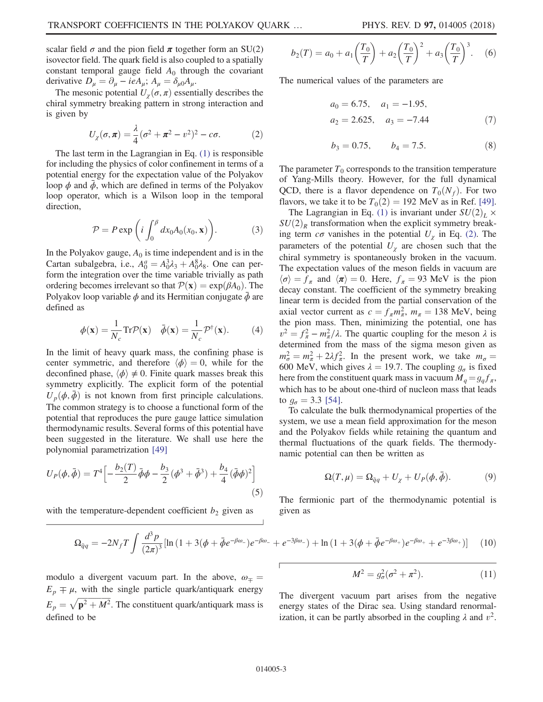scalar field  $\sigma$  and the pion field  $\pi$  together form an SU(2) isovector field. The quark field is also coupled to a spatially constant temporal gauge field  $A_0$  through the covariant derivative  $D_{\mu} = \partial_{\mu} - ieA_{\mu}$ ;  $A_{\mu} = \delta_{\mu 0}A_{\mu}$ .

<span id="page-2-0"></span>The mesonic potential  $U_{\gamma}(\sigma, \pi)$  essentially describes the chiral symmetry breaking pattern in strong interaction and is given by

$$
U_{\chi}(\sigma,\boldsymbol{\pi}) = \frac{\lambda}{4}(\sigma^2 + \boldsymbol{\pi}^2 - v^2)^2 - c\sigma.
$$
 (2)

The last term in the Lagrangian in Eq. [\(1\)](#page-1-0) is responsible for including the physics of color confinement in terms of a potential energy for the expectation value of the Polyakov loop  $\phi$  and  $\bar{\phi}$ , which are defined in terms of the Polyakov loop operator, which is a Wilson loop in the temporal direction,

$$
\mathcal{P} = P \exp\left(i \int_0^\beta dx_0 A_0(x_0, \mathbf{x})\right).
$$
 (3)

In the Polyakov gauge,  $A_0$  is time independent and is in the Cartan subalgebra, i.e.,  $A_0^a = A_0^3 \lambda_3 + A_0^8 \lambda_8$ . One can perform the integration over the time variable trivially as path ordering becomes irrelevant so that  $P(\mathbf{x}) = \exp(\beta A_0)$ . The Polyakov loop variable  $\phi$  and its Hermitian conjugate  $\bar{\phi}$  are defined as

$$
\phi(\mathbf{x}) = \frac{1}{N_c} \text{Tr} \mathcal{P}(\mathbf{x}) \quad \bar{\phi}(\mathbf{x}) = \frac{1}{N_c} \mathcal{P}^{\dagger}(\mathbf{x}). \tag{4}
$$

In the limit of heavy quark mass, the confining phase is center symmetric, and therefore  $\langle \phi \rangle = 0$ , while for the deconfined phase,  $\langle \phi \rangle \neq 0$ . Finite quark masses break this symmetry explicitly. The explicit form of the potential  $U_p(\phi, \phi)$  is not known from first principle calculations. The common strategy is to choose a functional form of the potential that reproduces the pure gauge lattice simulation thermodynamic results. Several forms of this potential have been suggested in the literature. We shall use here the polynomial parametrization [\[49\]](#page-16-11)

$$
U_P(\phi, \bar{\phi}) = T^4 \left[ -\frac{b_2(T)}{2} \bar{\phi} \phi - \frac{b_3}{2} (\phi^3 + \bar{\phi}^3) + \frac{b_4}{4} (\bar{\phi} \phi)^2 \right]
$$
(5)

with the temperature-dependent coefficient  $b_2$  given as

$$
b_2(T) = a_0 + a_1 \left(\frac{T_0}{T}\right) + a_2 \left(\frac{T_0}{T}\right)^2 + a_3 \left(\frac{T_0}{T}\right)^3. \quad (6)
$$

The numerical values of the parameters are

$$
a_0 = 6.75
$$
,  $a_1 = -1.95$ ,  
\n $a_2 = 2.625$ ,  $a_3 = -7.44$  (7)

$$
b_3 = 0.75, \qquad b_4 = 7.5. \tag{8}
$$

The parameter  $T_0$  corresponds to the transition temperature of Yang-Mills theory. However, for the full dynamical QCD, there is a flavor dependence on  $T_0(N_f)$ . For two flavors, we take it to be  $T_0(2) = 192$  MeV as in Ref. [\[49\]](#page-16-11).

The Lagrangian in Eq. [\(1\)](#page-1-0) is invariant under  $SU(2)_L \times$  $SU(2)_R$  transformation when the explicit symmetry breaking term  $c\sigma$  vanishes in the potential  $U_{\gamma}$  in Eq. [\(2\)](#page-2-0). The parameters of the potential  $U_{\chi}$  are chosen such that the chiral symmetry is spontaneously broken in the vacuum. The expectation values of the meson fields in vacuum are  $\langle \sigma \rangle = f_{\pi}$  and  $\langle \pi \rangle = 0$ . Here,  $f_{\pi} = 93$  MeV is the pion decay constant. The coefficient of the symmetry breaking linear term is decided from the partial conservation of the axial vector current as  $c = f_{\pi} m_{\pi}^2$ ,  $m_{\pi} = 138$  MeV, being the pion mass. Then, minimizing the potential, one has  $v^2 = f_{\pi}^2 - m_{\pi}^2/\lambda$ . The quartic coupling for the meson  $\lambda$  is determined from the mass of the sigma meson given as  $m_{\sigma}^2 = m_{\pi}^2 + 2\lambda f_{\pi}^2$ . In the present work, we take  $m_{\sigma} =$ 600 MeV, which gives  $\lambda = 19.7$ . The coupling  $g_{\sigma}$  is fixed here from the constituent quark mass in vacuum  $M_q = g_q f_\pi$ , which has to be about one-third of nucleon mass that leads to  $g_{\sigma} = 3.3$  [\[54\]](#page-16-12).

<span id="page-2-1"></span>To calculate the bulk thermodynamical properties of the system, we use a mean field approximation for the meson and the Polyakov fields while retaining the quantum and thermal fluctuations of the quark fields. The thermodynamic potential can then be written as

$$
\Omega(T,\mu) = \Omega_{\bar{q}q} + U_{\chi} + U_P(\phi, \bar{\phi}).\tag{9}
$$

The fermionic part of the thermodynamic potential is given as

$$
\Omega_{\bar{q}q} = -2N_f T \int \frac{d^3 p}{(2\pi)^3} \left[ \ln \left( 1 + 3(\phi + \bar{\phi}e^{-\beta \omega_{-}})e^{-\beta \omega_{-}} + e^{-3\beta \omega_{-}} \right) + \ln \left( 1 + 3(\phi + \bar{\phi}e^{-\beta \omega_{+}})e^{-\beta \omega_{+}} + e^{-3\beta \omega_{+}} \right) \right]
$$
(10)

modulo a divergent vacuum part. In the above,  $\omega_{\pm}$  =  $E_p \mp \mu$ , with the single particle quark/antiquark energy  $E_p = \sqrt{\mathbf{p}^2 + M^2}$ . The constituent quark/antiquark mass is defined to be

$$
M^2 = g^2_{\sigma}(\sigma^2 + \pi^2). \tag{11}
$$

The divergent vacuum part arises from the negative energy states of the Dirac sea. Using standard renormalization, it can be partly absorbed in the coupling  $\lambda$  and  $v^2$ .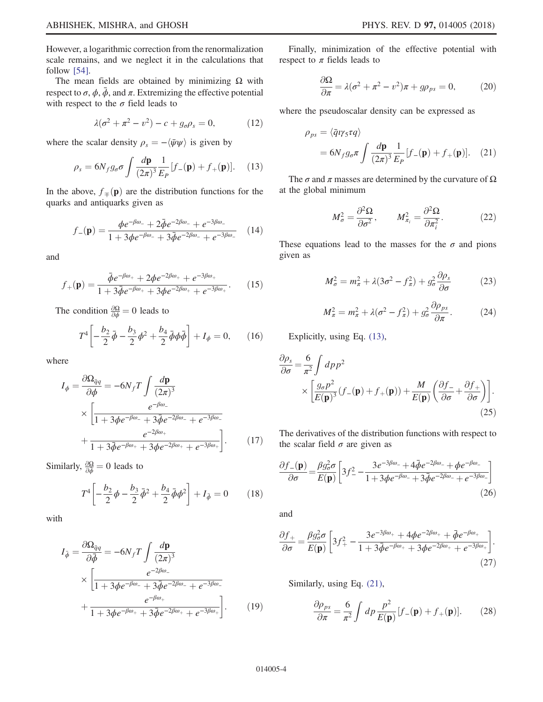However, a logarithmic correction from the renormalization scale remains, and we neglect it in the calculations that follow [\[54\].](#page-16-12)

The mean fields are obtained by minimizing  $\Omega$  with respect to  $\sigma$ ,  $\dot{\phi}$ ,  $\dot{\phi}$ , and  $\pi$ . Extremizing the effective potential with respect to the  $\sigma$  field leads to

$$
\lambda(\sigma^2 + \pi^2 - v^2) - c + g_\sigma \rho_s = 0, \qquad (12)
$$

<span id="page-3-0"></span>where the scalar density  $\rho_s = -\langle \bar{\psi}\psi \rangle$  is given by

$$
\rho_s = 6N_f g_\sigma \sigma \int \frac{d\mathbf{p}}{(2\pi)^3} \frac{1}{E_P} [f_-(\mathbf{p}) + f_+(\mathbf{p})]. \quad (13)
$$

In the above,  $f_{\mp}(\mathbf{p})$  are the distribution functions for the quarks and antiquarks given as

$$
f_{-}(\mathbf{p}) = \frac{\phi e^{-\beta\omega_{-}} + 2\bar{\phi}e^{-2\beta\omega_{-}} + e^{-3\beta\omega_{-}}}{1 + 3\phi e^{-\beta\omega_{-}} + 3\bar{\phi}e^{-2\beta\omega_{-}} + e^{-3\beta\omega_{-}}} \quad (14)
$$

and

$$
f_{+}(\mathbf{p}) = \frac{\bar{\phi}e^{-\beta\omega_{+}} + 2\phi e^{-2\beta\omega_{+}} + e^{-3\beta\omega_{+}}}{1 + 3\bar{\phi}e^{-\beta\omega_{+}} + 3\phi e^{-2\beta\omega_{+}} + e^{-3\beta\omega_{+}}}.
$$
 (15)

The condition  $\frac{\partial \Omega}{\partial \phi} = 0$  leads to

$$
T^{4}\left[-\frac{b_{2}}{2}\bar{\phi}-\frac{b_{3}}{2}\phi^{2}+\frac{b_{4}}{2}\bar{\phi}\phi\bar{\phi}\right]+I_{\phi}=0, \qquad (16)
$$

where

$$
I_{\phi} = \frac{\partial \Omega_{\bar{q}q}}{\partial \phi} = -6N_f T \int \frac{d\mathbf{p}}{(2\pi)^3}
$$
  
 
$$
\times \left[ \frac{e^{-\beta \omega_{-}}}{1 + 3\phi e^{-\beta \omega_{-}} + 3\bar{\phi} e^{-2\beta \omega_{-}} + e^{-3\beta \omega_{-}}}\right]
$$

$$
+ \frac{e^{-2\beta \omega_{+}}}{1 + 3\bar{\phi} e^{-\beta \omega_{+}} + 3\phi e^{-2\beta \omega_{+}} + e^{-3\beta \omega_{+}}}\right].
$$
 (17)

Similarly,  $\frac{\partial \Omega}{\partial \phi} = 0$  leads to

$$
T^4 \left[ -\frac{b_2}{2} \phi - \frac{b_3}{2} \bar{\phi}^2 + \frac{b_4}{2} \bar{\phi} \phi^2 \right] + I_{\bar{\phi}} = 0 \qquad (18)
$$

with

$$
I_{\bar{\phi}} = \frac{\partial \Omega_{\bar{q}q}}{\partial \bar{\phi}} = -6N_f T \int \frac{d\mathbf{p}}{(2\pi)^3}
$$
  
 
$$
\times \left[ \frac{e^{-2\beta\omega}}{1 + 3\phi e^{-\beta\omega} + 3\bar{\phi}e^{-2\beta\omega} + e^{-3\beta\omega} + \frac{e^{-\beta\omega_+}}{1 + 3\phi e^{-\beta\omega_+} + 3\bar{\phi}e^{-2\beta\omega_+} + e^{-3\beta\omega_+}} \right].
$$
 (19)

Finally, minimization of the effective potential with respect to  $\pi$  fields leads to

$$
\frac{\partial \Omega}{\partial \pi} = \lambda (\sigma^2 + \pi^2 - v^2) \pi + g \rho_{ps} = 0, \qquad (20)
$$

<span id="page-3-1"></span>where the pseudoscalar density can be expressed as

$$
\rho_{ps} = \langle \bar{q} \iota \gamma_5 \tau q \rangle
$$
  
=  $6N_f g_\sigma \pi \int \frac{d\mathbf{p}}{(2\pi)^3} \frac{1}{E_P} [f_{-}(\mathbf{p}) + f_{+}(\mathbf{p})].$  (21)

The  $\sigma$  and  $\pi$  masses are determined by the curvature of  $\Omega$ at the global minimum

$$
M_{\sigma}^{2} = \frac{\partial^{2} \Omega}{\partial \sigma^{2}}, \qquad M_{\pi_{i}}^{2} = \frac{\partial^{2} \Omega}{\partial \pi_{i}^{2}}.
$$
 (22)

<span id="page-3-2"></span>These equations lead to the masses for the  $\sigma$  and pions given as

$$
M_{\sigma}^2 = m_{\pi}^2 + \lambda (3\sigma^2 - f_{\pi}^2) + g_{\sigma}^2 \frac{\partial \rho_s}{\partial \sigma}
$$
 (23)

$$
M_{\pi}^2 = m_{\pi}^2 + \lambda(\sigma^2 - f_{\pi}^2) + g_{\sigma}^2 \frac{\partial \rho_{ps}}{\partial \pi}.
$$
 (24)

<span id="page-3-3"></span>Explicitly, using Eq. [\(13\)](#page-3-0),

$$
\frac{\partial \rho_s}{\partial \sigma} = \frac{6}{\pi^2} \int dp \, p^2
$$
\n
$$
\times \left[ \frac{g_\sigma p^2}{E(\mathbf{p})^3} (f_-(\mathbf{p}) + f_+(\mathbf{p})) + \frac{M}{E(\mathbf{p})} \left( \frac{\partial f_-}{\partial \sigma} + \frac{\partial f_+}{\partial \sigma} \right) \right].
$$
\n(25)

The derivatives of the distribution functions with respect to the scalar field  $\sigma$  are given as

$$
\frac{\partial f_{-}(\mathbf{p})}{\partial \sigma} = \frac{\beta g_{\sigma}^{2} \sigma}{E(\mathbf{p})} \left[ 3f_{-}^{2} - \frac{3e^{-3\beta\omega_{-}} + 4\bar{\phi}e^{-2\beta\omega_{-}} + \phi e^{-\beta\omega_{-}}}{1 + 3\phi e^{-\beta\omega_{-}} + 3\bar{\phi}e^{-2\beta\omega_{-}} + e^{-3\beta\omega_{-}}} \right]
$$
(26)

and

$$
\frac{\partial f_{+}}{\partial \sigma} = \frac{\beta g_{\sigma}^{2} \sigma}{E(\mathbf{p})} \left[ 3f_{+}^{2} - \frac{3e^{-3\beta\omega_{+}} + 4\phi e^{-2\beta\omega_{+}} + \bar{\phi}e^{-\beta\omega_{+}}}{1 + 3\bar{\phi}e^{-\beta\omega_{+}} + 3\phi e^{-2\beta\omega_{+}} + e^{-3\beta\omega_{+}}} \right].
$$
\n(27)

Similarly, using Eq. [\(21\),](#page-3-1)

$$
\frac{\partial \rho_{ps}}{\partial \pi} = \frac{6}{\pi^2} \int dp \frac{p^2}{E(\mathbf{p})} [f_{-}(\mathbf{p}) + f_{+}(\mathbf{p})]. \tag{28}
$$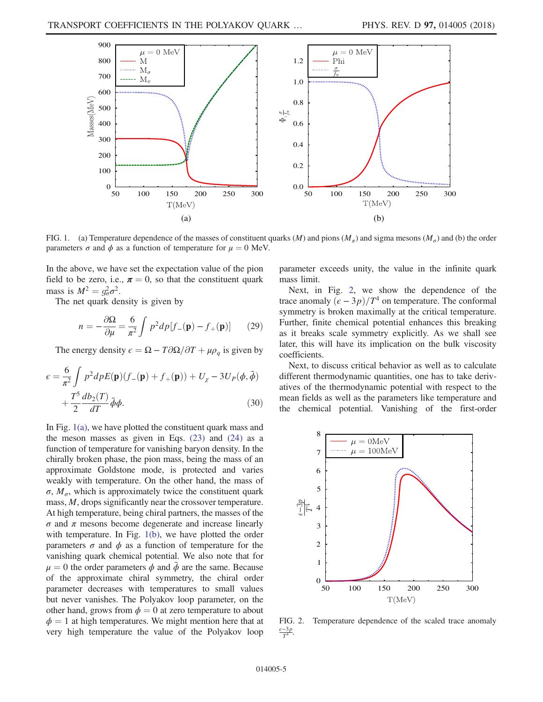<span id="page-4-0"></span>

FIG. 1. (a) Temperature dependence of the masses of constituent quarks (M) and pions ( $M_{\pi}$ ) and sigma mesons ( $M_{\sigma}$ ) and (b) the order parameters  $\sigma$  and  $\phi$  as a function of temperature for  $\mu = 0$  MeV.

In the above, we have set the expectation value of the pion field to be zero, i.e.,  $\pi = 0$ , so that the constituent quark mass is  $M^2 = g^2_{\sigma} \sigma^2$ .

The net quark density is given by

$$
n = -\frac{\partial \Omega}{\partial \mu} = \frac{6}{\pi^2} \int p^2 dp [f_{-}(\mathbf{p}) - f_{+}(\mathbf{p})] \qquad (29)
$$

The energy density  $\epsilon = \Omega - T\partial\Omega/\partial T + \mu \rho_q$  is given by

$$
\epsilon = \frac{6}{\pi^2} \int p^2 dp E(\mathbf{p})(f_{-}(\mathbf{p}) + f_{+}(\mathbf{p})) + U_{\chi} - 3U_P(\phi, \bar{\phi})
$$

$$
+ \frac{T^5}{2} \frac{db_2(T)}{dT} \bar{\phi} \phi.
$$
(30)

In Fig. [1\(a\)](#page-4-0), we have plotted the constituent quark mass and the meson masses as given in Eqs.  $(23)$  and  $(24)$  as a function of temperature for vanishing baryon density. In the chirally broken phase, the pion mass, being the mass of an approximate Goldstone mode, is protected and varies weakly with temperature. On the other hand, the mass of  $\sigma$ ,  $M_{\sigma}$ , which is approximately twice the constituent quark mass, M, drops significantly near the crossover temperature. At high temperature, being chiral partners, the masses of the  $\sigma$  and  $\pi$  mesons become degenerate and increase linearly with temperature. In Fig. [1\(b\),](#page-4-0) we have plotted the order parameters  $\sigma$  and  $\phi$  as a function of temperature for the vanishing quark chemical potential. We also note that for  $\mu = 0$  the order parameters  $\phi$  and  $\bar{\phi}$  are the same. Because of the approximate chiral symmetry, the chiral order parameter decreases with temperatures to small values but never vanishes. The Polyakov loop parameter, on the other hand, grows from  $\phi = 0$  at zero temperature to about  $\phi = 1$  at high temperatures. We might mention here that at very high temperature the value of the Polyakov loop parameter exceeds unity, the value in the infinite quark mass limit.

Next, in Fig. [2,](#page-4-1) we show the dependence of the trace anomaly  $(\epsilon - 3p)/T^4$  on temperature. The conformal symmetry is broken maximally at the critical temperature. Further, finite chemical potential enhances this breaking as it breaks scale symmetry explicitly. As we shall see later, this will have its implication on the bulk viscosity coefficients.

Next, to discuss critical behavior as well as to calculate different thermodynamic quantities, one has to take derivatives of the thermodynamic potential with respect to the mean fields as well as the parameters like temperature and the chemical potential. Vanishing of the first-order

<span id="page-4-1"></span>

FIG. 2. Temperature dependence of the scaled trace anomaly  $\frac{\epsilon-3p}{T^4}$ .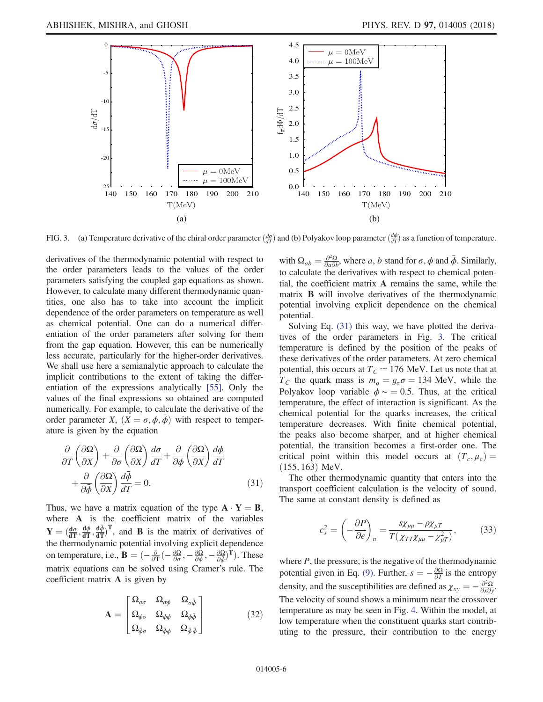<span id="page-5-1"></span>

FIG. 3. (a) Temperature derivative of the chiral order parameter  $\frac{d\sigma}{dT}$  and (b) Polyakov loop parameter  $\frac{d\phi}{dT}$  as a function of temperature.

derivatives of the thermodynamic potential with respect to the order parameters leads to the values of the order parameters satisfying the coupled gap equations as shown. However, to calculate many different thermodynamic quantities, one also has to take into account the implicit dependence of the order parameters on temperature as well as chemical potential. One can do a numerical differentiation of the order parameters after solving for them from the gap equation. However, this can be numerically less accurate, particularly for the higher-order derivatives. We shall use here a semianalytic approach to calculate the implicit contributions to the extent of taking the differentiation of the expressions analytically [\[55\].](#page-16-13) Only the values of the final expressions so obtained are computed numerically. For example, to calculate the derivative of the order parameter X,  $(X = \sigma, \phi, \bar{\phi})$  with respect to temperature is given by the equation

<span id="page-5-0"></span>
$$
\frac{\partial}{\partial T} \left( \frac{\partial \Omega}{\partial X} \right) + \frac{\partial}{\partial \sigma} \left( \frac{\partial \Omega}{\partial X} \right) \frac{d\sigma}{dT} + \frac{\partial}{\partial \phi} \left( \frac{\partial \Omega}{\partial X} \right) \frac{d\phi}{dT} \n+ \frac{\partial}{\partial \bar{\phi}} \left( \frac{\partial \Omega}{\partial X} \right) \frac{d\bar{\phi}}{dT} = 0.
$$
\n(31)

Thus, we have a matrix equation of the type  $\mathbf{A} \cdot \mathbf{Y} = \mathbf{B}$ , where A is the coefficient matrix of the variables  $\mathbf{Y} = (\frac{\mathbf{d}\sigma}{\mathbf{d}\mathbf{T}}, \frac{\mathbf{d}\phi}{\mathbf{d}\mathbf{T}}, \frac{\mathbf{d}\bar{\phi}}{\mathbf{d}\mathbf{T}})$  $\mathbf{T}$ , and **B** is the matrix of derivatives of the thermodynamic potential involving explicit dependence on temperature, i.e.,  $\mathbf{B} = (-\frac{\partial}{\partial \mathbf{T}}(-\frac{\partial \Omega}{\partial \sigma}, -\frac{\partial \Omega}{\partial \phi}, -\frac{\partial \Omega}{\partial \phi})^{\mathbf{T}})$ . These matrix equations can be solved using Cramer's rule. The coefficient matrix A is given by

$$
\mathbf{A} = \begin{bmatrix} \Omega_{\sigma\sigma} & \Omega_{\sigma\phi} & \Omega_{\sigma\bar{\phi}} \\ \Omega_{\phi\sigma} & \Omega_{\phi\phi} & \Omega_{\phi\bar{\phi}} \\ \Omega_{\bar{\phi}\sigma} & \Omega_{\bar{\phi}\phi} & \Omega_{\bar{\phi}\bar{\phi}} \end{bmatrix}
$$
(32)

with  $\Omega_{ab} = \frac{\partial^2 \Omega}{\partial a \partial b}$ , where a, b stand for  $\sigma$ ,  $\phi$  and  $\bar{\phi}$ . Similarly, to calculate the derivatives with respect to chemical potential, the coefficient matrix A remains the same, while the matrix B will involve derivatives of the thermodynamic potential involving explicit dependence on the chemical potential.

Solving Eq.  $(31)$  this way, we have plotted the derivatives of the order parameters in Fig. [3](#page-5-1). The critical temperature is defined by the position of the peaks of these derivatives of the order parameters. At zero chemical potential, this occurs at  $T_C \approx 176$  MeV. Let us note that at  $T_c$  the quark mass is  $m_a = g_\sigma \sigma = 134$  MeV, while the Polyakov loop variable  $\phi \sim 0.5$ . Thus, at the critical temperature, the effect of interaction is significant. As the chemical potential for the quarks increases, the critical temperature decreases. With finite chemical potential, the peaks also become sharper, and at higher chemical potential, the transition becomes a first-order one. The critical point within this model occurs at  $(T_c, \mu_c)$  =  $(155, 163)$  MeV.

The other thermodynamic quantity that enters into the transport coefficient calculation is the velocity of sound. The same at constant density is defined as

$$
c_s^2 = \left(-\frac{\partial P}{\partial \epsilon}\right)_n = \frac{s\chi_{\mu\mu} - \rho\chi_{\mu T}}{T(\chi_{TT}\chi_{\mu\mu} - \chi_{\mu T}^2)},\tag{33}
$$

where  $P$ , the pressure, is the negative of the thermodynamic potential given in Eq. [\(9\).](#page-2-1) Further,  $s = -\frac{\partial \Omega}{\partial T}$  is the entropy density, and the susceptibilities are defined as  $\chi_{xy} = -\frac{\partial^2 \Omega}{\partial x \partial y}$ . The velocity of sound shows a minimum near the crossover temperature as may be seen in Fig. [4.](#page-6-1) Within the model, at low temperature when the constituent quarks start contributing to the pressure, their contribution to the energy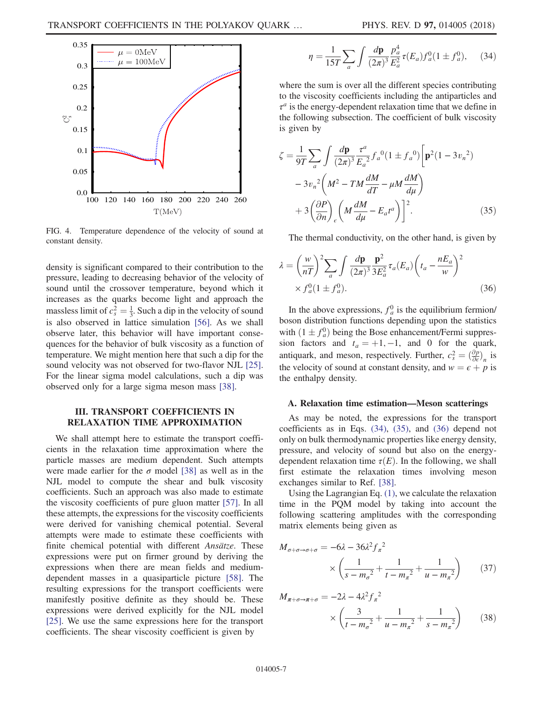<span id="page-6-1"></span>

FIG. 4. Temperature dependence of the velocity of sound at constant density.

density is significant compared to their contribution to the pressure, leading to decreasing behavior of the velocity of sound until the crossover temperature, beyond which it increases as the quarks become light and approach the massless limit of  $c_s^2 = \frac{1}{3}$ . Such a dip in the velocity of sound is also observed in lattice simulation [\[56\].](#page-16-14) As we shall observe later, this behavior will have important consequences for the behavior of bulk viscosity as a function of temperature. We might mention here that such a dip for the sound velocity was not observed for two-flavor NJL [\[25\]](#page-15-18). For the linear sigma model calculations, such a dip was observed only for a large sigma meson mass [\[38\]](#page-16-2).

## <span id="page-6-0"></span>III. TRANSPORT COEFFICIENTS IN RELAXATION TIME APPROXIMATION

<span id="page-6-2"></span>We shall attempt here to estimate the transport coefficients in the relaxation time approximation where the particle masses are medium dependent. Such attempts were made earlier for the  $\sigma$  model [\[38\]](#page-16-2) as well as in the NJL model to compute the shear and bulk viscosity coefficients. Such an approach was also made to estimate the viscosity coefficients of pure gluon matter [\[57\]](#page-16-15). In all these attempts, the expressions for the viscosity coefficients were derived for vanishing chemical potential. Several attempts were made to estimate these coefficients with finite chemical potential with different Ansätze. These expressions were put on firmer ground by deriving the expressions when there are mean fields and mediumdependent masses in a quasiparticle picture [\[58\]](#page-16-16). The resulting expressions for the transport coefficients were manifestly positive definite as they should be. These expressions were derived explicitly for the NJL model [\[25\]](#page-15-18). We use the same expressions here for the transport coefficients. The shear viscosity coefficient is given by

$$
\eta = \frac{1}{15T} \sum_{a} \int \frac{d\mathbf{p}}{(2\pi)^3} \frac{p_a^4}{E_a^2} \tau(E_a) f_a^0 (1 \pm f_a^0), \quad (34)
$$

where the sum is over all the different species contributing to the viscosity coefficients including the antiparticles and  $\tau^a$  is the energy-dependent relaxation time that we define in the following subsection. The coefficient of bulk viscosity is given by

<span id="page-6-3"></span>
$$
\zeta = \frac{1}{9T} \sum_{a} \int \frac{d\mathbf{p}}{(2\pi)^3} \frac{\tau^a}{E_a^2} f_a^0 (1 \pm f_a^0) \left[ \mathbf{p}^2 (1 - 3v_n^2) \right]
$$

$$
- 3v_n^2 \left( M^2 - TM \frac{dM}{dT} - \mu M \frac{dM}{d\mu} \right)
$$

$$
+ 3 \left( \frac{\partial P}{\partial n} \right)_e \left( M \frac{dM}{d\mu} - E_a t^a \right) \bigg]^2.
$$
(35)

<span id="page-6-4"></span>The thermal conductivity, on the other hand, is given by

$$
\lambda = \left(\frac{w}{nT}\right)^2 \sum_a \int \frac{d\mathbf{p}}{(2\pi)^3} \frac{\mathbf{p}^2}{3E_a^2} \tau_a(E_a) \left(t_a - \frac{nE_a}{w}\right)^2
$$
  
 
$$
\times f_a^0 (1 \pm f_a^0). \tag{36}
$$

In the above expressions,  $f_a^0$  is the equilibrium fermion/ boson distribution functions depending upon the statistics with  $(1 \pm f_a^0)$  being the Bose enhancement/Fermi suppression factors and  $t_a = +1, -1$ , and 0 for the quark, antiquark, and meson, respectively. Further,  $c_s^2 = \left(\frac{\partial p}{\partial \epsilon}\right)_n$  is the velocity of sound at constant density, and  $w = \epsilon + p$  is the enthalpy density.

### A. Relaxation time estimation—Meson scatterings

As may be noted, the expressions for the transport coefficients as in Eqs. [\(34\),](#page-6-2) [\(35\),](#page-6-3) and [\(36\)](#page-6-4) depend not only on bulk thermodynamic properties like energy density, pressure, and velocity of sound but also on the energydependent relaxation time  $\tau(E)$ . In the following, we shall first estimate the relaxation times involving meson exchanges similar to Ref. [\[38\]](#page-16-2).

Using the Lagrangian Eq. [\(1\),](#page-1-0) we calculate the relaxation time in the PQM model by taking into account the following scattering amplitudes with the corresponding matrix elements being given as

$$
M_{\sigma+\sigma\to\sigma+\sigma} = -6\lambda - 36\lambda^2 f_{\pi}^2
$$
  
 
$$
\times \left(\frac{1}{s - m_{\sigma}^2} + \frac{1}{t - m_{\pi}^2} + \frac{1}{u - m_{\pi}^2}\right) \tag{37}
$$

$$
M_{\pi+\sigma \to \pi+\sigma} = -2\lambda - 4\lambda^2 f_{\pi}^2
$$
  
 
$$
\times \left(\frac{3}{t - m_{\sigma}^2} + \frac{1}{u - m_{\pi}^2} + \frac{1}{s - m_{\pi}^2}\right) \tag{38}
$$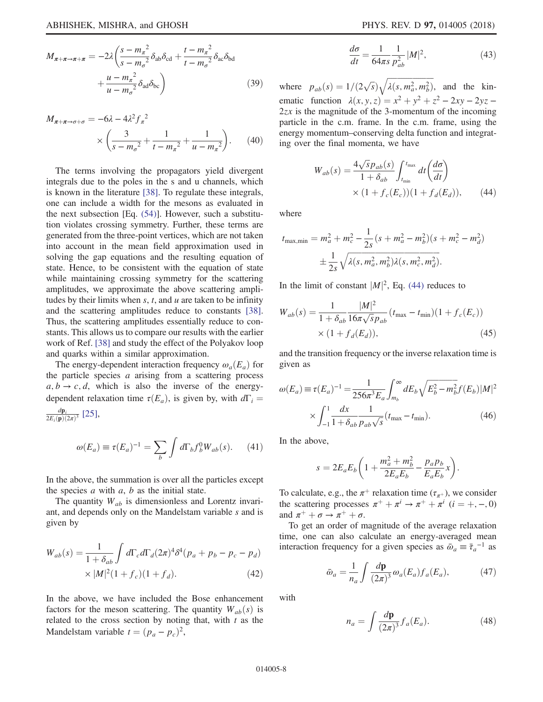$$
M_{\pi+\pi\to\pi+\pi} = -2\lambda \left(\frac{s-m_{\pi}^2}{s-m_{\sigma}^2} \delta_{ab}\delta_{cd} + \frac{t-m_{\pi}^2}{t-m_{\sigma}^2} \delta_{ac}\delta_{bd} + \frac{u-m_{\pi}^2}{u-m_{\sigma}^2} \delta_{ad}\delta_{bc}\right)
$$
(39)

$$
M_{\pi+\pi \to \sigma+\sigma} = -6\lambda - 4\lambda^2 f_{\pi}^2
$$
  
 
$$
\times \left(\frac{3}{s - m_{\sigma}^2} + \frac{1}{t - m_{\pi}^2} + \frac{1}{u - m_{\pi}^2}\right).
$$
 (40)

The terms involving the propagators yield divergent integrals due to the poles in the s and u channels, which is known in the literature [\[38\]](#page-16-2). To regulate these integrals, one can include a width for the mesons as evaluated in the next subsection [Eq. [\(54\)](#page-8-0)]. However, such a substitution violates crossing symmetry. Further, these terms are generated from the three-point vertices, which are not taken into account in the mean field approximation used in solving the gap equations and the resulting equation of state. Hence, to be consistent with the equation of state while maintaining crossing symmetry for the scattering amplitudes, we approximate the above scattering amplitudes by their limits when  $s, t$ , and  $u$  are taken to be infinity and the scattering amplitudes reduce to constants [\[38\]](#page-16-2). Thus, the scattering amplitudes essentially reduce to constants. This allows us to compare our results with the earlier work of Ref. [\[38\]](#page-16-2) and study the effect of the Polyakov loop and quarks within a similar approximation.

<span id="page-7-1"></span>The energy-dependent interaction frequency  $\omega_a(E_a)$  for the particle species  $a$  arising from a scattering process  $a, b \rightarrow c, d$ , which is also the inverse of the energydependent relaxation time  $\tau(E_a)$ , is given by, with  $d\Gamma_i =$  $\frac{d\mathbf{p}_i}{2E_i(\mathbf{p})(2\pi)^3}$  [\[25\],](#page-15-18)

$$
\omega(E_a) \equiv \tau(E_a)^{-1} = \sum_b \int d\Gamma_b f_b^0 W_{ab}(s). \tag{41}
$$

In the above, the summation is over all the particles except the species  $a$  with  $a, b$  as the initial state.

The quantity  $W_{ab}$  is dimensionless and Lorentz invariant, and depends only on the Mandelstam variable s and is given by

$$
W_{ab}(s) = \frac{1}{1 + \delta_{ab}} \int d\Gamma_c d\Gamma_d (2\pi)^4 \delta^4 (p_a + p_b - p_c - p_d)
$$
  
 
$$
\times |M|^2 (1 + f_c)(1 + f_d). \tag{42}
$$

In the above, we have included the Bose enhancement factors for the meson scattering. The quantity  $W_{ab}(s)$  is related to the cross section by noting that, with  $t$  as the Mandelstam variable  $t = (p_a - p_c)^2$ ,

$$
\frac{d\sigma}{dt} = \frac{1}{64\pi s} \frac{1}{p_{ab}^2} |M|^2,\tag{43}
$$

where  $p_{ab}(s) = 1/(2\sqrt{s})\sqrt{\lambda(s, m_a^2, m_b^2)}$ , and the kinematic function  $\lambda(x, y, z) = x^2 + y^2 + z^2 - 2xy - 2yz$  $2zx$  is the magnitude of the 3-momentum of the incoming particle in the c.m. frame. In the c.m. frame, using the energy momentum–conserving delta function and integrating over the final momenta, we have

<span id="page-7-0"></span>
$$
W_{ab}(s) = \frac{4\sqrt{s}p_{ab}(s)}{1+\delta_{ab}} \int_{t_{\min}}^{t_{\max}} dt \left(\frac{d\sigma}{dt}\right)
$$

$$
\times (1+f_c(E_c))(1+f_d(E_d)), \qquad (44)
$$

where

$$
t_{\text{max,min}} = m_a^2 + m_c^2 - \frac{1}{2s} (s + m_a^2 - m_b^2)(s + m_c^2 - m_d^2)
$$
  

$$
\pm \frac{1}{2s} \sqrt{\lambda(s, m_a^2, m_b^2)\lambda(s, m_c^2, m_d^2)}.
$$

In the limit of constant  $|M|^2$ , Eq. [\(44\)](#page-7-0) reduces to

$$
W_{ab}(s) = \frac{1}{1 + \delta_{ab}} \frac{|M|^2}{16\pi \sqrt{s} p_{ab}} (t_{\text{max}} - t_{\text{min}})(1 + f_c(E_c))
$$
  
× (1 + f<sub>d</sub>(E<sub>d</sub>)), (45)

<span id="page-7-3"></span>and the transition frequency or the inverse relaxation time is given as

$$
\omega(E_a) \equiv \tau(E_a)^{-1} = \frac{1}{256\pi^3 E_a} \int_{m_b}^{\infty} dE_b \sqrt{E_b^2 - m_b^2} f(E_b) |M|^2
$$

$$
\times \int_{-1}^{1} \frac{dx}{1 + \delta_{ab}} \frac{1}{p_{ab}\sqrt{s}} (t_{\text{max}} - t_{\text{min}}). \tag{46}
$$

In the above,

$$
s = 2E_a E_b \bigg( 1 + \frac{m_a^2 + m_b^2}{2E_a E_b} - \frac{p_a p_b}{E_a E_b} x \bigg).
$$

To calculate, e.g., the  $\pi^+$  relaxation time ( $\tau_{\pi^+}$ ), we consider the scattering processes  $\pi^+ + \pi^i \rightarrow \pi^+ + \pi^i$  ( $i = +, -, 0$ ) and  $\pi^+ + \sigma \rightarrow \pi^+ + \sigma$ .

<span id="page-7-2"></span>To get an order of magnitude of the average relaxation time, one can also calculate an energy-averaged mean interaction frequency for a given species as  $\bar{\omega}_a \equiv \bar{\tau}_a^{-1}$  as

$$
\bar{\omega}_a = \frac{1}{n_a} \int \frac{d\mathbf{p}}{(2\pi)^3} \omega_a(E_a) f_a(E_a), \tag{47}
$$

with

$$
n_a = \int \frac{d\mathbf{p}}{(2\pi)^3} f_a(E_a). \tag{48}
$$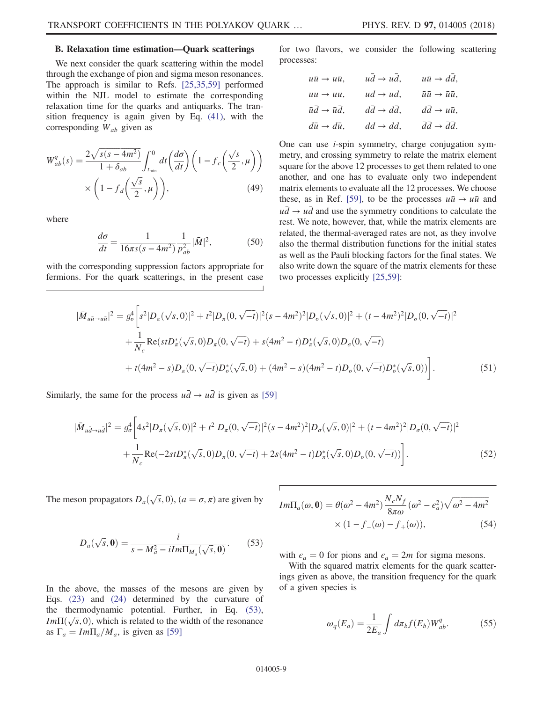### B. Relaxation time estimation—Quark scatterings

We next consider the quark scattering within the model through the exchange of pion and sigma meson resonances. The approach is similar to Refs. [\[25,35,59\]](#page-15-18) performed within the NJL model to estimate the corresponding relaxation time for the quarks and antiquarks. The transition frequency is again given by Eq. [\(41\),](#page-7-1) with the corresponding  $W_{ab}$  given as

$$
W_{ab}^{q}(s) = \frac{2\sqrt{s(s-4m^{2})}}{1+\delta_{ab}} \int_{t_{\min}}^{0} dt \left(\frac{d\sigma}{dt}\right) \left(1 - f_{c}\left(\frac{\sqrt{s}}{2}, \mu\right)\right) \times \left(1 - f_{d}\left(\frac{\sqrt{s}}{2}, \mu\right)\right),
$$
\n(49)

where

$$
\frac{d\sigma}{dt} = \frac{1}{16\pi s (s - 4m^2)} \frac{1}{p_{ab}^2} |\bar{M}|^2,
$$
 (50)

with the corresponding suppression factors appropriate for fermions. For the quark scatterings, in the present case for two flavors, we consider the following scattering processes:

$$
u\bar{u} \rightarrow u\bar{u}, \qquad u\bar{d} \rightarrow u\bar{d}, \qquad u\bar{u} \rightarrow d\bar{d},
$$
  
\n
$$
uu \rightarrow uu, \qquad ud \rightarrow ud, \qquad \bar{u}\bar{u} \rightarrow \bar{u}\bar{u},
$$
  
\n
$$
\bar{u}\bar{d} \rightarrow \bar{u}\bar{d}, \qquad d\bar{d} \rightarrow d\bar{d}, \qquad d\bar{d} \rightarrow u\bar{u},
$$
  
\n
$$
d\bar{u} \rightarrow d\bar{u}, \qquad dd \rightarrow dd, \qquad \bar{d}\bar{d} \rightarrow \bar{d}\bar{d}.
$$

One can use i-spin symmetry, charge conjugation symmetry, and crossing symmetry to relate the matrix element square for the above 12 processes to get them related to one another, and one has to evaluate only two independent matrix elements to evaluate all the 12 processes. We choose these, as in Ref. [\[59\],](#page-16-17) to be the processes  $u\bar{u} \rightarrow u\bar{u}$  and  $u\bar{d} \rightarrow u\bar{d}$  and use the symmetry conditions to calculate the rest. We note, however, that, while the matrix elements are related, the thermal-averaged rates are not, as they involve also the thermal distribution functions for the initial states as well as the Pauli blocking factors for the final states. We also write down the square of the matrix elements for these two processes explicitly [\[25,59\]:](#page-15-18)

$$
|\bar{M}_{u\bar{u}\to u\bar{u}}|^2 = g_{\sigma}^4 \bigg[ s^2 |D_{\pi}(\sqrt{s}, 0)|^2 + t^2 |D_{\pi}(0, \sqrt{-t})|^2 (s - 4m^2)^2 |D_{\sigma}(\sqrt{s}, 0)|^2 + (t - 4m^2)^2 |D_{\sigma}(0, \sqrt{-t})|^2
$$
  
+ 
$$
\frac{1}{N_c} \text{Re}(stD_{\pi}^*(\sqrt{s}, 0) D_{\pi}(0, \sqrt{-t}) + s(4m^2 - t) D_{\pi}^*(\sqrt{s}, 0) D_{\sigma}(0, \sqrt{-t})
$$
  
+ 
$$
t(4m^2 - s) D_{\pi}(0, \sqrt{-t}) D_{\sigma}^*(\sqrt{s}, 0) + (4m^2 - s)(4m^2 - t) D_{\sigma}(0, \sqrt{-t}) D_{\sigma}^*(\sqrt{s}, 0)) \bigg].
$$
 (51)

Similarly, the same for the process  $u\bar{d} \rightarrow u\bar{d}$  is given as [\[59\]](#page-16-17)

$$
|\bar{M}_{u\bar{d}\to u\bar{d}}|^2 = g_{\sigma}^4 \bigg[ 4s^2 |D_{\pi}(\sqrt{s}, 0)|^2 + t^2 |D_{\pi}(0, \sqrt{-t})|^2 (s - 4m^2)^2 |D_{\sigma}(\sqrt{s}, 0)|^2 + (t - 4m^2)^2 |D_{\sigma}(0, \sqrt{-t})|^2
$$
  
+ 
$$
\frac{1}{N_c} \text{Re}(-2st D_{\pi}^*(\sqrt{s}, 0) D_{\pi}(0, \sqrt{-t}) + 2s(4m^2 - t) D_{\pi}^*(\sqrt{s}, 0) D_{\sigma}(0, \sqrt{-t})) \bigg].
$$
 (52)

<span id="page-8-1"></span>The meson propagators  $D_a(\sqrt{s}, 0)$ ,  $(a = \sigma, \pi)$  are given by

$$
D_a(\sqrt{s}, \mathbf{0}) = \frac{i}{s - M_a^2 - iIm\Pi_{M_a}(\sqrt{s}, \mathbf{0})}.
$$
 (53)

<span id="page-8-0"></span>In the above, the masses of the mesons are given by Eqs. [\(23\)](#page-3-2) and [\(24\)](#page-3-3) determined by the curvature of the thermodynamic potential. Further, in Eq. [\(53\)](#page-8-1),  $Im \Pi(\sqrt{s}, 0)$ , which is related to the width of the resonance as  $\Gamma_a = Im \Pi_a / M_a$ , is given as [\[59\]](#page-16-17)

$$
Im\Pi_a(\omega, \mathbf{0}) = \theta(\omega^2 - 4m^2) \frac{N_c N_f}{8\pi \omega} (\omega^2 - \epsilon_a^2) \sqrt{\omega^2 - 4m^2}
$$
  
 
$$
\times (1 - f_{-}(\omega) - f_{+}(\omega)), \tag{54}
$$

with  $\epsilon_a = 0$  for pions and  $\epsilon_a = 2m$  for sigma mesons.

With the squared matrix elements for the quark scatterings given as above, the transition frequency for the quark of a given species is

$$
\omega_q(E_a) = \frac{1}{2E_a} \int d\pi_b f(E_b) W_{ab}^q.
$$
 (55)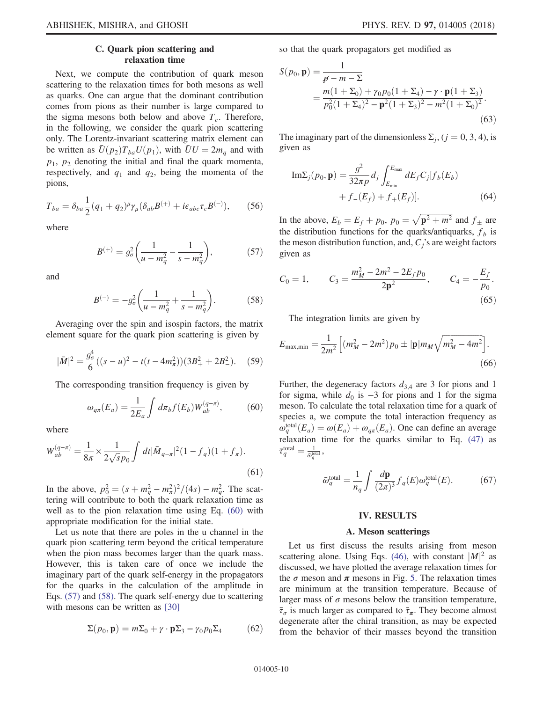### C. Quark pion scattering and relaxation time

Next, we compute the contribution of quark meson scattering to the relaxation times for both mesons as well as quarks. One can argue that the dominant contribution comes from pions as their number is large compared to the sigma mesons both below and above  $T_c$ . Therefore, in the following, we consider the quark pion scattering only. The Lorentz-invariant scattering matrix element can be written as  $\bar{U}(p_2)T_{ba}U(p_1)$ , with  $\bar{U}U=2m_q$  and with  $p_1$ ,  $p_2$  denoting the initial and final the quark momenta, respectively, and  $q_1$  and  $q_2$ , being the momenta of the pions,

$$
T_{ba} = \delta_{ba} \frac{1}{2} (q_1 + q_2)^\mu \gamma_\mu (\delta_{ab} B^{(+)} + i \epsilon_{abc} \tau_c B^{(-)}), \qquad (56)
$$

<span id="page-9-2"></span>where

$$
B^{(+)} = g_{\sigma}^{2} \left( \frac{1}{u - m_{q}^{2}} - \frac{1}{s - m_{q}^{2}} \right), \tag{57}
$$

<span id="page-9-3"></span>and

$$
B^{(-)} = -g_{\sigma}^{2} \left( \frac{1}{u - m_{q}^{2}} + \frac{1}{s - m_{q}^{2}} \right). \tag{58}
$$

Averaging over the spin and isospin factors, the matrix element square for the quark pion scattering is given by

$$
|\bar{M}|^2 = \frac{g_\sigma^4}{6}((s-u)^2 - t(t-4m_\pi^2))(3B_+^2 + 2B_-^2). \quad (59)
$$

<span id="page-9-1"></span>The corresponding transition frequency is given by

$$
\omega_{q\pi}(E_a) = \frac{1}{2E_a} \int d\pi_b f(E_b) W_{ab}^{(q-\pi)}, \tag{60}
$$

where

$$
W_{ab}^{(q-\pi)} = \frac{1}{8\pi} \times \frac{1}{2\sqrt{sp_0}} \int dt |\bar{M}_{q-\pi}|^2 (1 - f_q)(1 + f_\pi). \tag{61}
$$

In the above,  $p_0^2 = (s + m_q^2 - m_\pi^2)^2 / (4s) - m_q^2$ . The scattering will contribute to both the quark relaxation time as well as to the pion relaxation time using Eq. [\(60\)](#page-9-1) with appropriate modification for the initial state.

Let us note that there are poles in the u channel in the quark pion scattering term beyond the critical temperature when the pion mass becomes larger than the quark mass. However, this is taken care of once we include the imaginary part of the quark self-energy in the propagators for the quarks in the calculation of the amplitude in Eqs. [\(57\)](#page-9-2) and [\(58\)](#page-9-3). The quark self-energy due to scattering with mesons can be written as [\[30\]](#page-15-20)

<span id="page-9-4"></span>
$$
\Sigma(p_0, \mathbf{p}) = m\Sigma_0 + \gamma \cdot \mathbf{p}\Sigma_3 - \gamma_0 p_0 \Sigma_4 \tag{62}
$$

so that the quark propagators get modified as

$$
S(p_0, \mathbf{p}) = \frac{1}{p - m - \Sigma}
$$
  
= 
$$
\frac{m(1 + \Sigma_0) + \gamma_0 p_0 (1 + \Sigma_4) - \gamma \cdot \mathbf{p} (1 + \Sigma_3)}{p_0^2 (1 + \Sigma_4)^2 - \mathbf{p}^2 (1 + \Sigma_3)^2 - m^2 (1 + \Sigma_0)^2}.
$$
 (63)

The imaginary part of the dimensionless  $\Sigma_i$ , ( $j = 0, 3, 4$ ), is given as

Im
$$
\Sigma_j(p_0, \mathbf{p}) = \frac{g^2}{32\pi p} d_j \int_{E_{\text{min}}}^{E_{\text{max}}} dE_f C_j[f_b(E_b) + f_{-}(E_f) + f_{+}(E_f)].
$$
 (64)

In the above,  $E_b = E_f + p_0$ ,  $p_0 = \sqrt{\mathbf{p}^2 + m^2}$  and  $f_{\pm}$  are the distribution functions for the quarks/antiquarks,  $f_b$  is the meson distribution function, and,  $C_i$ 's are weight factors given as

$$
C_0 = 1,
$$
  $C_3 = \frac{m_M^2 - 2m^2 - 2E_f p_0}{2p^2},$   $C_4 = -\frac{E_f}{p_0}.$  (65)

The integration limits are given by

$$
E_{\text{max,min}} = \frac{1}{2m^2} \left[ (m_M^2 - 2m^2) p_0 \pm |\mathbf{p}| m_M \sqrt{m_M^2 - 4m^2} \right].
$$
\n(66)

Further, the degeneracy factors  $d_{3,4}$  are 3 for pions and 1 for sigma, while  $d_0$  is −3 for pions and 1 for the sigma meson. To calculate the total relaxation time for a quark of species a, we compute the total interaction frequency as  $\omega_q^{\text{total}}(E_a) = \omega(E_a) + \omega_{q\pi}(E_a)$ . One can define an average relaxation time for the quarks similar to Eq. [\(47\)](#page-7-2) as  $\bar\tau_q^{\text{total}} = \frac{1}{\bar\omega_q^{\text{total}}},$ 

<span id="page-9-5"></span>
$$
\bar{\omega}_q^{\text{total}} = \frac{1}{n_q} \int \frac{d\mathbf{p}}{(2\pi)^3} f_q(E) \omega_q^{\text{total}}(E). \tag{67}
$$

### IV. RESULTS

#### A. Meson scatterings

<span id="page-9-0"></span>Let us first discuss the results arising from meson scattering alone. Using Eqs. [\(46\),](#page-7-3) with constant  $|M|^2$  as discussed, we have plotted the average relaxation times for the  $\sigma$  meson and  $\pi$  mesons in Fig. [5.](#page-10-0) The relaxation times are minimum at the transition temperature. Because of larger mass of  $\sigma$  mesons below the transition temperature,  $\bar{\tau}_{\sigma}$  is much larger as compared to  $\bar{\tau}_{\pi}$ . They become almost degenerate after the chiral transition, as may be expected from the behavior of their masses beyond the transition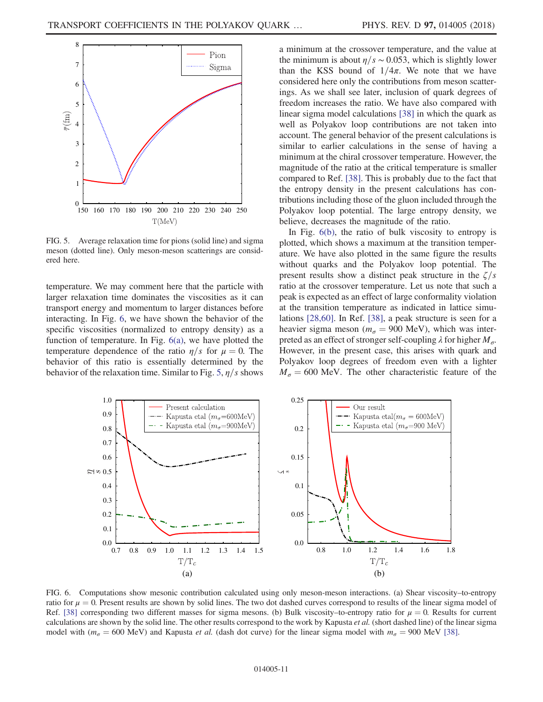<span id="page-10-0"></span>

FIG. 5. Average relaxation time for pions (solid line) and sigma meson (dotted line). Only meson-meson scatterings are considered here.

temperature. We may comment here that the particle with larger relaxation time dominates the viscosities as it can transport energy and momentum to larger distances before interacting. In Fig. [6](#page-10-1), we have shown the behavior of the specific viscosities (normalized to entropy density) as a function of temperature. In Fig. [6\(a\),](#page-10-1) we have plotted the temperature dependence of the ratio  $\eta/s$  for  $\mu=0$ . The behavior of this ratio is essentially determined by the behavior of the relaxation time. Similar to Fig. [5](#page-10-0),  $\eta/s$  shows a minimum at the crossover temperature, and the value at the minimum is about  $\eta$ /s ~ 0.053, which is slightly lower than the KSS bound of  $1/4\pi$ . We note that we have considered here only the contributions from meson scatterings. As we shall see later, inclusion of quark degrees of freedom increases the ratio. We have also compared with linear sigma model calculations [\[38\]](#page-16-2) in which the quark as well as Polyakov loop contributions are not taken into account. The general behavior of the present calculations is similar to earlier calculations in the sense of having a minimum at the chiral crossover temperature. However, the magnitude of the ratio at the critical temperature is smaller compared to Ref. [\[38\].](#page-16-2) This is probably due to the fact that the entropy density in the present calculations has contributions including those of the gluon included through the Polyakov loop potential. The large entropy density, we believe, decreases the magnitude of the ratio.

In Fig. [6\(b\)](#page-10-1), the ratio of bulk viscosity to entropy is plotted, which shows a maximum at the transition temperature. We have also plotted in the same figure the results without quarks and the Polyakov loop potential. The present results show a distinct peak structure in the  $\zeta/s$ ratio at the crossover temperature. Let us note that such a peak is expected as an effect of large conformality violation at the transition temperature as indicated in lattice simulations [\[28,60\]](#page-15-14). In Ref. [\[38\]](#page-16-2), a peak structure is seen for a heavier sigma meson ( $m_{\sigma} = 900$  MeV), which was interpreted as an effect of stronger self-coupling  $\lambda$  for higher  $M_{\sigma}$ . However, in the present case, this arises with quark and Polyakov loop degrees of freedom even with a lighter  $M_{\sigma} = 600$  MeV. The other characteristic feature of the

<span id="page-10-1"></span>

FIG. 6. Computations show mesonic contribution calculated using only meson-meson interactions. (a) Shear viscosity–to-entropy ratio for  $\mu = 0$ . Present results are shown by solid lines. The two dot dashed curves correspond to results of the linear sigma model of Ref. [\[38\]](#page-16-2) corresponding two different masses for sigma mesons. (b) Bulk viscosity–to-entropy ratio for  $\mu = 0$ . Results for current calculations are shown by the solid line. The other results correspond to the work by Kapusta et al. (short dashed line) of the linear sigma model with ( $m_{\sigma} = 600$  MeV) and Kapusta *et al.* (dash dot curve) for the linear sigma model with  $m_{\sigma} = 900$  MeV [\[38\]](#page-16-2).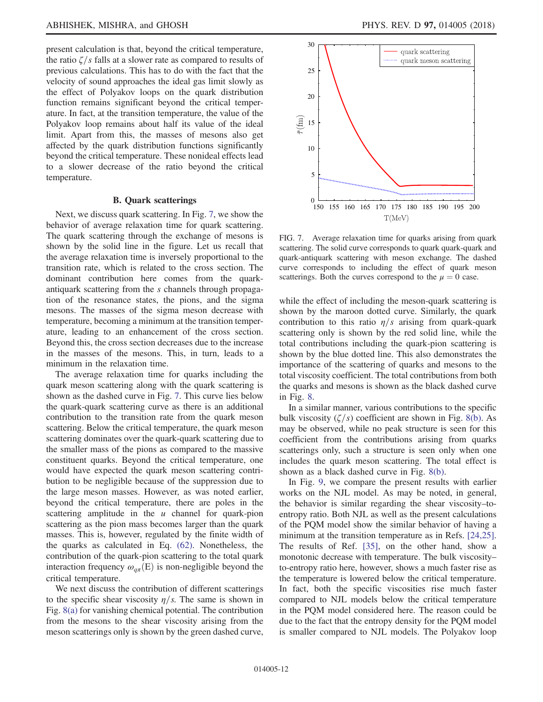present calculation is that, beyond the critical temperature, the ratio  $\zeta/s$  falls at a slower rate as compared to results of previous calculations. This has to do with the fact that the velocity of sound approaches the ideal gas limit slowly as the effect of Polyakov loops on the quark distribution function remains significant beyond the critical temperature. In fact, at the transition temperature, the value of the Polyakov loop remains about half its value of the ideal limit. Apart from this, the masses of mesons also get affected by the quark distribution functions significantly beyond the critical temperature. These nonideal effects lead to a slower decrease of the ratio beyond the critical temperature.

### B. Quark scatterings

Next, we discuss quark scattering. In Fig. [7,](#page-11-0) we show the behavior of average relaxation time for quark scattering. The quark scattering through the exchange of mesons is shown by the solid line in the figure. Let us recall that the average relaxation time is inversely proportional to the transition rate, which is related to the cross section. The dominant contribution here comes from the quarkantiquark scattering from the s channels through propagation of the resonance states, the pions, and the sigma mesons. The masses of the sigma meson decrease with temperature, becoming a minimum at the transition temperature, leading to an enhancement of the cross section. Beyond this, the cross section decreases due to the increase in the masses of the mesons. This, in turn, leads to a minimum in the relaxation time.

The average relaxation time for quarks including the quark meson scattering along with the quark scattering is shown as the dashed curve in Fig. [7](#page-11-0). This curve lies below the quark-quark scattering curve as there is an additional contribution to the transition rate from the quark meson scattering. Below the critical temperature, the quark meson scattering dominates over the quark-quark scattering due to the smaller mass of the pions as compared to the massive constituent quarks. Beyond the critical temperature, one would have expected the quark meson scattering contribution to be negligible because of the suppression due to the large meson masses. However, as was noted earlier, beyond the critical temperature, there are poles in the scattering amplitude in the  $u$  channel for quark-pion scattering as the pion mass becomes larger than the quark masses. This is, however, regulated by the finite width of the quarks as calculated in Eq. [\(62\).](#page-9-4) Nonetheless, the contribution of the quark-pion scattering to the total quark interaction frequency  $\omega_{a\pi}(E)$  is non-negligible beyond the critical temperature.

We next discuss the contribution of different scatterings to the specific shear viscosity  $\eta/s$ . The same is shown in Fig. [8\(a\)](#page-12-0) for vanishing chemical potential. The contribution from the mesons to the shear viscosity arising from the meson scatterings only is shown by the green dashed curve,

<span id="page-11-0"></span>

FIG. 7. Average relaxation time for quarks arising from quark scattering. The solid curve corresponds to quark quark-quark and quark-antiquark scattering with meson exchange. The dashed curve corresponds to including the effect of quark meson scatterings. Both the curves correspond to the  $\mu = 0$  case.

while the effect of including the meson-quark scattering is shown by the maroon dotted curve. Similarly, the quark contribution to this ratio  $\eta/s$  arising from quark-quark scattering only is shown by the red solid line, while the total contributions including the quark-pion scattering is shown by the blue dotted line. This also demonstrates the importance of the scattering of quarks and mesons to the total viscosity coefficient. The total contributions from both the quarks and mesons is shown as the black dashed curve in Fig. [8](#page-12-0).

In a similar manner, various contributions to the specific bulk viscosity ( $\zeta/s$ ) coefficient are shown in Fig. [8\(b\).](#page-12-0) As may be observed, while no peak structure is seen for this coefficient from the contributions arising from quarks scatterings only, such a structure is seen only when one includes the quark meson scattering. The total effect is shown as a black dashed curve in Fig. [8\(b\).](#page-12-0)

In Fig. [9,](#page-12-1) we compare the present results with earlier works on the NJL model. As may be noted, in general, the behavior is similar regarding the shear viscosity–toentropy ratio. Both NJL as well as the present calculations of the PQM model show the similar behavior of having a minimum at the transition temperature as in Refs. [\[24,25\]](#page-15-13). The results of Ref. [\[35\]](#page-15-17), on the other hand, show a monotonic decrease with temperature. The bulk viscosity– to-entropy ratio here, however, shows a much faster rise as the temperature is lowered below the critical temperature. In fact, both the specific viscosities rise much faster compared to NJL models below the critical temperature in the PQM model considered here. The reason could be due to the fact that the entropy density for the PQM model is smaller compared to NJL models. The Polyakov loop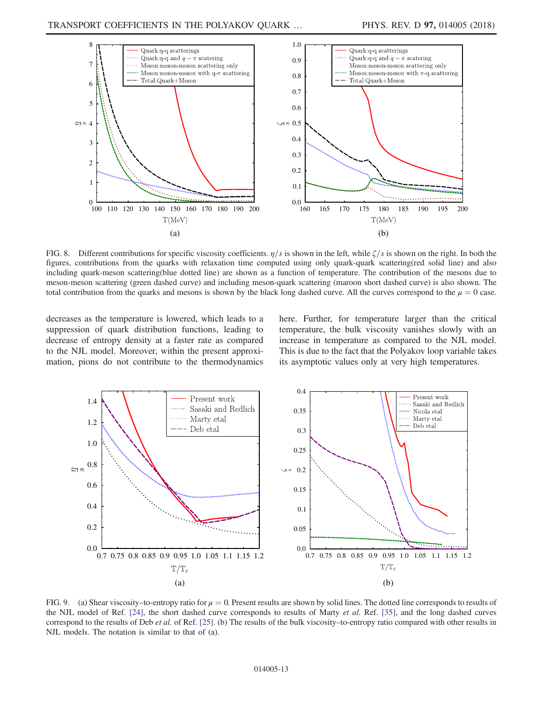<span id="page-12-0"></span>

FIG. 8. Different contributions for specific viscosity coefficients.  $\eta/s$  is shown in the left, while  $\zeta/s$  is shown on the right. In both the figures, contributions from the quarks with relaxation time computed using only quark-quark scattering(red solid line) and also including quark-meson scattering(blue dotted line) are shown as a function of temperature. The contribution of the mesons due to meson-meson scattering (green dashed curve) and including meson-quark scattering (maroon short dashed curve) is also shown. The total contribution from the quarks and mesons is shown by the black long dashed curve. All the curves correspond to the  $\mu = 0$  case.

decreases as the temperature is lowered, which leads to a suppression of quark distribution functions, leading to decrease of entropy density at a faster rate as compared to the NJL model. Moreover, within the present approximation, pions do not contribute to the thermodynamics

here. Further, for temperature larger than the critical temperature, the bulk viscosity vanishes slowly with an increase in temperature as compared to the NJL model. This is due to the fact that the Polyakov loop variable takes its asymptotic values only at very high temperatures.

<span id="page-12-1"></span>

FIG. 9. (a) Shear viscosity–to-entropy ratio for  $\mu = 0$ . Present results are shown by solid lines. The dotted line corresponds to results of the NJL model of Ref. [\[24\],](#page-15-13) the short dashed curve corresponds to results of Marty *et al.* Ref. [\[35\]](#page-15-17), and the long dashed curves correspond to the results of Deb *et al.* of Ref. [\[25\].](#page-15-18) (b) The results of the bulk viscosity–to-entropy ratio compared with other results in NJL models. The notation is similar to that of (a).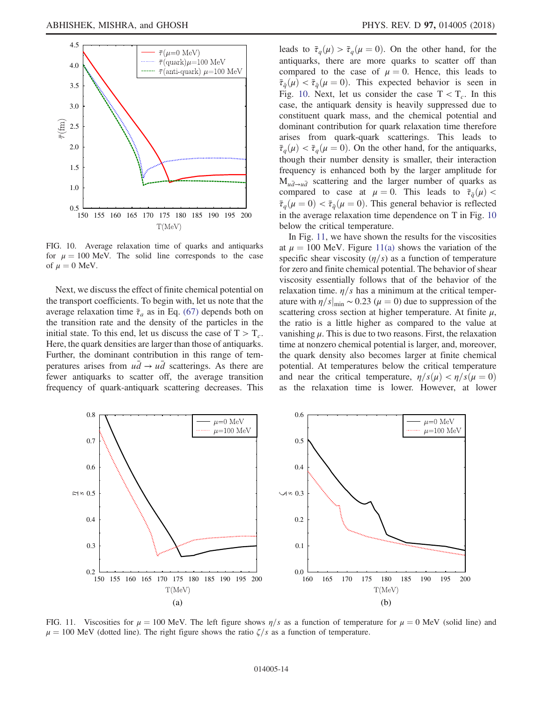<span id="page-13-0"></span>

FIG. 10. Average relaxation time of quarks and antiquarks for  $\mu = 100$  MeV. The solid line corresponds to the case of  $\mu = 0$  MeV.

Next, we discuss the effect of finite chemical potential on the transport coefficients. To begin with, let us note that the average relaxation time  $\bar{\tau}_a$  as in Eq. [\(67\)](#page-9-5) depends both on the transition rate and the density of the particles in the initial state. To this end, let us discuss the case of  $T > T_c$ . Here, the quark densities are larger than those of antiquarks. Further, the dominant contribution in this range of temperatures arises from  $u\bar{d} \rightarrow u\bar{d}$  scatterings. As there are fewer antiquarks to scatter off, the average transition frequency of quark-antiquark scattering decreases. This leads to  $\bar{\tau}_q(\mu) > \bar{\tau}_q(\mu = 0)$ . On the other hand, for the antiquarks, there are more quarks to scatter off than compared to the case of  $\mu = 0$ . Hence, this leads to  $\bar{\tau}_{\bar{\theta}}(\mu) < \bar{\tau}_{\bar{\theta}}(\mu = 0)$ . This expected behavior is seen in Fig. [10](#page-13-0). Next, let us consider the case  $T < T_c$ . In this case, the antiquark density is heavily suppressed due to constituent quark mass, and the chemical potential and dominant contribution for quark relaxation time therefore arises from quark-quark scatterings. This leads to  $\overline{\tau}_q(\mu) < \overline{\tau}_q(\mu = 0)$ . On the other hand, for the antiquarks, though their number density is smaller, their interaction frequency is enhanced both by the larger amplitude for  $M_{\mu \bar{d} \rightarrow \mu \bar{d}}$  scattering and the larger number of quarks as compared to case at  $\mu = 0$ . This leads to  $\bar{\tau}_{\bar{q}}(\mu)$  <  $\bar{\tau}_q(\mu = 0) < \bar{\tau}_{\bar{q}}(\mu = 0)$ . This general behavior is reflected in the average relaxation time dependence on T in Fig. [10](#page-13-0) below the critical temperature.

In Fig. [11](#page-13-1), we have shown the results for the viscosities at  $\mu = 100$  MeV. Figure [11\(a\)](#page-13-1) shows the variation of the specific shear viscosity  $(\eta/s)$  as a function of temperature for zero and finite chemical potential. The behavior of shear viscosity essentially follows that of the behavior of the relaxation time.  $\eta/s$  has a minimum at the critical temperature with  $\eta/s|_{\text{min}} \sim 0.23$  ( $\mu = 0$ ) due to suppression of the scattering cross section at higher temperature. At finite  $\mu$ , the ratio is a little higher as compared to the value at vanishing  $\mu$ . This is due to two reasons. First, the relaxation time at nonzero chemical potential is larger, and, moreover, the quark density also becomes larger at finite chemical potential. At temperatures below the critical temperature and near the critical temperature,  $\eta/s(\mu) < \eta/s(\mu = 0)$ as the relaxation time is lower. However, at lower

<span id="page-13-1"></span>

FIG. 11. Viscosities for  $\mu = 100$  MeV. The left figure shows  $\eta/s$  as a function of temperature for  $\mu = 0$  MeV (solid line) and  $\mu = 100$  MeV (dotted line). The right figure shows the ratio  $\zeta/s$  as a function of temperature.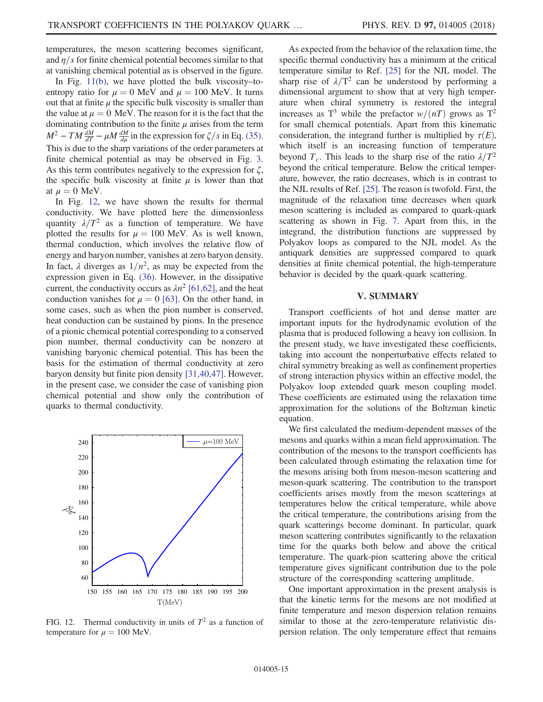temperatures, the meson scattering becomes significant, and  $\eta$ /s for finite chemical potential becomes similar to that at vanishing chemical potential as is observed in the figure.

In Fig. [11\(b\),](#page-13-1) we have plotted the bulk viscosity–toentropy ratio for  $\mu = 0$  MeV and  $\mu = 100$  MeV. It turns out that at finite  $\mu$  the specific bulk viscosity is smaller than the value at  $\mu = 0$  MeV. The reason for it is the fact that the dominating contribution to the finite  $\mu$  arises from the term  $M^2 - TM \frac{dM}{dT} - \mu M \frac{dM}{d\mu}$  in the expression for  $\zeta/s$  in Eq. [\(35\)](#page-6-3). This is due to the sharp variations of the order parameters at finite chemical potential as may be observed in Fig. [3](#page-5-1). As this term contributes negatively to the expression for  $\zeta$ , the specific bulk viscosity at finite  $\mu$  is lower than that at  $\mu = 0$  MeV.

In Fig. [12](#page-14-0), we have shown the results for thermal conductivity. We have plotted here the dimensionless quantity  $\lambda/T^2$  as a function of temperature. We have plotted the results for  $\mu = 100$  MeV. As is well known, thermal conduction, which involves the relative flow of energy and baryon number, vanishes at zero baryon density. In fact,  $\lambda$  diverges as  $1/n^2$ , as may be expected from the expression given in Eq. [\(36\)](#page-6-4). However, in the dissipative current, the conductivity occurs as  $\lambda n^2$  [\[61,62\],](#page-16-18) and the heat conduction vanishes for  $\mu = 0$  [\[63\]](#page-16-19). On the other hand, in some cases, such as when the pion number is conserved, heat conduction can be sustained by pions. In the presence of a pionic chemical potential corresponding to a conserved pion number, thermal conductivity can be nonzero at vanishing baryonic chemical potential. This has been the basis for the estimation of thermal conductivity at zero baryon density but finite pion density [\[31,40,47\]](#page-15-19). However, in the present case, we consider the case of vanishing pion chemical potential and show only the contribution of quarks to thermal conductivity.

<span id="page-14-0"></span>

FIG. 12. Thermal conductivity in units of  $T^2$  as a function of temperature for  $\mu = 100$  MeV.

As expected from the behavior of the relaxation time, the specific thermal conductivity has a minimum at the critical temperature similar to Ref. [\[25\]](#page-15-18) for the NJL model. The sharp rise of  $\lambda/T^2$  can be understood by performing a dimensional argument to show that at very high temperature when chiral symmetry is restored the integral increases as T<sup>3</sup> while the prefactor  $w/(nT)$  grows as T<sup>2</sup> for small chemical potentials. Apart from this kinematic consideration, the integrand further is multiplied by  $\tau(E)$ , which itself is an increasing function of temperature beyond  $T_c$ . This leads to the sharp rise of the ratio  $\lambda/T^2$ beyond the critical temperature. Below the critical temperature, however, the ratio decreases, which is in contrast to the NJL results of Ref. [\[25\]](#page-15-18). The reason is twofold. First, the magnitude of the relaxation time decreases when quark meson scattering is included as compared to quark-quark scattering as shown in Fig. [7.](#page-11-0) Apart from this, in the integrand, the distribution functions are suppressed by Polyakov loops as compared to the NJL model. As the antiquark densities are suppressed compared to quark densities at finite chemical potential, the high-temperature behavior is decided by the quark-quark scattering.

### V. SUMMARY

Transport coefficients of hot and dense matter are important inputs for the hydrodynamic evolution of the plasma that is produced following a heavy ion collision. In the present study, we have investigated these coefficients, taking into account the nonperturbative effects related to chiral symmetry breaking as well as confinement properties of strong interaction physics within an effective model, the Polyakov loop extended quark meson coupling model. These coefficients are estimated using the relaxation time approximation for the solutions of the Boltzman kinetic equation.

We first calculated the medium-dependent masses of the mesons and quarks within a mean field approximation. The contribution of the mesons to the transport coefficients has been calculated through estimating the relaxation time for the mesons arising both from meson-meson scattering and meson-quark scattering. The contribution to the transport coefficients arises mostly from the meson scatterings at temperatures below the critical temperature, while above the critical temperature, the contributions arising from the quark scatterings become dominant. In particular, quark meson scattering contributes significantly to the relaxation time for the quarks both below and above the critical temperature. The quark-pion scattering above the critical temperature gives significant contribution due to the pole structure of the corresponding scattering amplitude.

One important approximation in the present analysis is that the kinetic terms for the mesons are not modified at finite temperature and meson dispersion relation remains similar to those at the zero-temperature relativistic dispersion relation. The only temperature effect that remains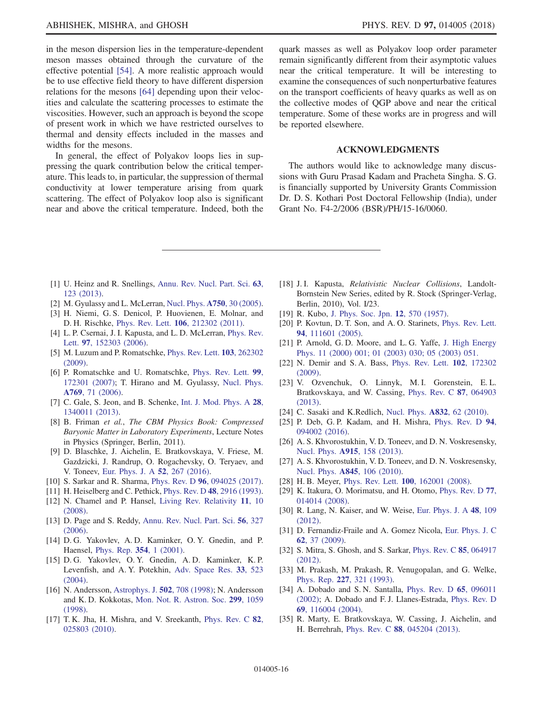in the meson dispersion lies in the temperature-dependent meson masses obtained through the curvature of the effective potential [\[54\].](#page-16-12) A more realistic approach would be to use effective field theory to have different dispersion relations for the mesons [\[64\]](#page-16-20) depending upon their velocities and calculate the scattering processes to estimate the viscosities. However, such an approach is beyond the scope of present work in which we have restricted ourselves to thermal and density effects included in the masses and widths for the mesons.

In general, the effect of Polyakov loops lies in suppressing the quark contribution below the critical temperature. This leads to, in particular, the suppression of thermal conductivity at lower temperature arising from quark scattering. The effect of Polyakov loop also is significant near and above the critical temperature. Indeed, both the remain significantly different from their asymptotic values near the critical temperature. It will be interesting to examine the consequences of such nonperturbative features on the transport coefficients of heavy quarks as well as on the collective modes of QGP above and near the critical temperature. Some of these works are in progress and will be reported elsewhere.

#### ACKNOWLEDGMENTS

The authors would like to acknowledge many discussions with Guru Prasad Kadam and Pracheta Singha. S. G. is financially supported by University Grants Commission Dr. D. S. Kothari Post Doctoral Fellowship (India), under Grant No. F4-2/2006 (BSR)/PH/15-16/0060.

- <span id="page-15-0"></span>[1] U. Heinz and R. Snellings, [Annu. Rev. Nucl. Part. Sci.](https://doi.org/10.1146/annurev-nucl-102212-170540) 63, [123 \(2013\)](https://doi.org/10.1146/annurev-nucl-102212-170540).
- [2] M. Gyulassy and L. McLerran, [Nucl. Phys.](https://doi.org/10.1016/j.nuclphysa.2004.10.034) A750, 30 (2005).
- [3] H. Niemi, G. S. Denicol, P. Huovienen, E. Molnar, and D. H. Rischke, Phys. Rev. Lett. 106[, 212302 \(2011\).](https://doi.org/10.1103/PhysRevLett.106.212302)
- [4] L. P. Csernai, J. I. Kapusta, and L. D. McLerran, [Phys. Rev.](https://doi.org/10.1103/PhysRevLett.97.152303) Lett. 97[, 152303 \(2006\).](https://doi.org/10.1103/PhysRevLett.97.152303)
- [5] M. Luzum and P. Romatschke, [Phys. Rev. Lett.](https://doi.org/10.1103/PhysRevLett.103.262302) **103**, 262302 [\(2009\).](https://doi.org/10.1103/PhysRevLett.103.262302)
- <span id="page-15-1"></span>[6] P. Romatschke and U. Romatschke, [Phys. Rev. Lett.](https://doi.org/10.1103/PhysRevLett.99.172301) 99, [172301 \(2007\)](https://doi.org/10.1103/PhysRevLett.99.172301); T. Hirano and M. Gyulassy, [Nucl. Phys.](https://doi.org/10.1016/j.nuclphysa.2006.02.005) A769[, 71 \(2006\).](https://doi.org/10.1016/j.nuclphysa.2006.02.005)
- [7] C. Gale, S. Jeon, and B. Schenke, [Int. J. Mod. Phys. A](https://doi.org/10.1142/S0217751X13400113) 28, [1340011 \(2013\).](https://doi.org/10.1142/S0217751X13400113)
- <span id="page-15-2"></span>[8] B. Friman et al., The CBM Physics Book: Compressed Baryonic Matter in Laboratory Experiments, Lecture Notes in Physics (Springer, Berlin, 2011).
- <span id="page-15-3"></span>[9] D. Blaschke, J. Aichelin, E. Bratkovskaya, V. Friese, M. Gazdzicki, J. Randrup, O. Rogachevsky, O. Teryaev, and V. Toneev, [Eur. Phys. J. A](https://doi.org/10.1140/epja/i2016-16267-x) 52, 267 (2016).
- <span id="page-15-4"></span>[10] S. Sarkar and R. Sharma, Phys. Rev. D 96[, 094025 \(2017\).](https://doi.org/10.1103/PhysRevD.96.094025)
- <span id="page-15-5"></span>[11] H. Heiselberg and C. Pethick, Phys. Rev. D 48[, 2916 \(1993\).](https://doi.org/10.1103/PhysRevD.48.2916)
- [12] N. Chamel and P. Hansel, [Living Rev. Relativity](https://doi.org/10.12942/lrr-2008-10) 11, 10 [\(2008\).](https://doi.org/10.12942/lrr-2008-10)
- [13] D. Page and S. Reddy, [Annu. Rev. Nucl. Part. Sci.](https://doi.org/10.1146/annurev.nucl.56.080805.140600) 56, 327 [\(2006\).](https://doi.org/10.1146/annurev.nucl.56.080805.140600)
- <span id="page-15-6"></span>[14] D. G. Yakovlev, A. D. Kaminker, O. Y. Gnedin, and P. Haensel, [Phys. Rep.](https://doi.org/10.1016/S0370-1573(00)00131-9) 354, 1 (2001).
- [15] D. G. Yakovlev, O. Y. Gnedin, A. D. Kaminker, K. P. Levenfish, and A. Y. Potekhin, [Adv. Space Res.](https://doi.org/10.1016/j.asr.2003.07.020) 33, 523 [\(2004\).](https://doi.org/10.1016/j.asr.2003.07.020)
- <span id="page-15-7"></span>[16] N. Andersson, [Astrophys. J.](https://doi.org/10.1086/305919) 502, 708 (1998); N. Andersson and K. D. Kokkotas, [Mon. Not. R. Astron. Soc.](https://doi.org/10.1046/j.1365-8711.1998.01840.x) 299, 1059 [\(1998\).](https://doi.org/10.1046/j.1365-8711.1998.01840.x)
- [17] T. K. Jha, H. Mishra, and V. Sreekanth, [Phys. Rev. C](https://doi.org/10.1103/PhysRevC.82.025803) 82, [025803 \(2010\).](https://doi.org/10.1103/PhysRevC.82.025803)
- <span id="page-15-8"></span>[18] J. I. Kapusta, Relativistic Nuclear Collisions, Landolt-Bornstein New Series, edited by R. Stock (Springer-Verlag, Berlin, 2010), Vol. I/23.
- <span id="page-15-10"></span><span id="page-15-9"></span>[19] R. Kubo, [J. Phys. Soc. Jpn.](https://doi.org/10.1143/JPSJ.12.570) **12**, 570 (1957).
- [20] P. Kovtun, D. T. Son, and A. O. Starinets, [Phys. Rev. Lett.](https://doi.org/10.1103/PhysRevLett.94.111601) 94[, 111601 \(2005\).](https://doi.org/10.1103/PhysRevLett.94.111601)
- <span id="page-15-11"></span>[21] P. Arnold, G. D. Moore, and L. G. Yaffe, [J. High Energy](https://doi.org/10.1088/1126-6708/2000/11/001) [Phys. 11 \(2000\) 001;](https://doi.org/10.1088/1126-6708/2000/11/001) [01 \(2003\) 030;](https://doi.org/10.1088/1126-6708/2003/01/030) [05 \(2003\) 051.](https://doi.org/10.1088/1126-6708/2003/05/051)
- <span id="page-15-12"></span>[22] N. Demir and S. A. Bass, [Phys. Rev. Lett.](https://doi.org/10.1103/PhysRevLett.102.172302) 102, 172302 [\(2009\).](https://doi.org/10.1103/PhysRevLett.102.172302)
- [23] V. Ozvenchuk, O. Linnyk, M. I. Gorenstein, E. L. Bratkovskaya, and W. Cassing, [Phys. Rev. C](https://doi.org/10.1103/PhysRevC.87.064903) 87, 064903 [\(2013\).](https://doi.org/10.1103/PhysRevC.87.064903)
- <span id="page-15-18"></span><span id="page-15-13"></span>[24] C. Sasaki and K.Redlich, [Nucl. Phys.](https://doi.org/10.1016/j.nuclphysa.2009.11.005) A832, 62 (2010).
- [25] P. Deb, G. P. Kadam, and H. Mishra, [Phys. Rev. D](https://doi.org/10.1103/PhysRevD.94.094002) 94, [094002 \(2016\).](https://doi.org/10.1103/PhysRevD.94.094002)
- [26] A. S. Khvorostukhin, V. D. Toneev, and D. N. Voskresensky, Nucl. Phys. A915[, 158 \(2013\)](https://doi.org/10.1016/j.nuclphysa.2013.07.008).
- [27] A. S. Khvorostukhin, V. D. Toneev, and D. N. Voskresensky, Nucl. Phys. A845[, 106 \(2010\)](https://doi.org/10.1016/j.nuclphysa.2010.05.058).
- <span id="page-15-15"></span><span id="page-15-14"></span>[28] H. B. Meyer, Phys. Rev. Lett. 100[, 162001 \(2008\).](https://doi.org/10.1103/PhysRevLett.100.162001)
- [29] K. Itakura, O. Morimatsu, and H. Otomo, [Phys. Rev. D](https://doi.org/10.1103/PhysRevD.77.014014) 77, [014014 \(2008\).](https://doi.org/10.1103/PhysRevD.77.014014)
- <span id="page-15-20"></span>[30] R. Lang, N. Kaiser, and W. Weise, [Eur. Phys. J. A](https://doi.org/10.1140/epja/i2012-12109-3) 48, 109 [\(2012\).](https://doi.org/10.1140/epja/i2012-12109-3)
- <span id="page-15-19"></span>[31] D. Fernandiz-Fraile and A. Gomez Nicola, [Eur. Phys. J. C](https://doi.org/10.1140/epjc/s10052-009-0935-0) 62[, 37 \(2009\).](https://doi.org/10.1140/epjc/s10052-009-0935-0)
- [32] S. Mitra, S. Ghosh, and S. Sarkar, [Phys. Rev. C](https://doi.org/10.1103/PhysRevC.85.064917) 85, 064917 [\(2012\).](https://doi.org/10.1103/PhysRevC.85.064917)
- [33] M. Prakash, M. Prakash, R. Venugopalan, and G. Welke, Phys. Rep. 227[, 321 \(1993\).](https://doi.org/10.1016/0370-1573(93)90092-R)
- <span id="page-15-16"></span>[34] A. Dobado and S. N. Santalla, [Phys. Rev. D](https://doi.org/10.1103/PhysRevD.65.096011) 65, 096011 [\(2002\);](https://doi.org/10.1103/PhysRevD.65.096011) A. Dobado and F. J. Llanes-Estrada, [Phys. Rev. D](https://doi.org/10.1103/PhysRevD.69.116004) 69[, 116004 \(2004\).](https://doi.org/10.1103/PhysRevD.69.116004)
- <span id="page-15-17"></span>[35] R. Marty, E. Bratkovskaya, W. Cassing, J. Aichelin, and H. Berrehrah, Phys. Rev. C 88[, 045204 \(2013\).](https://doi.org/10.1103/PhysRevC.88.045204)